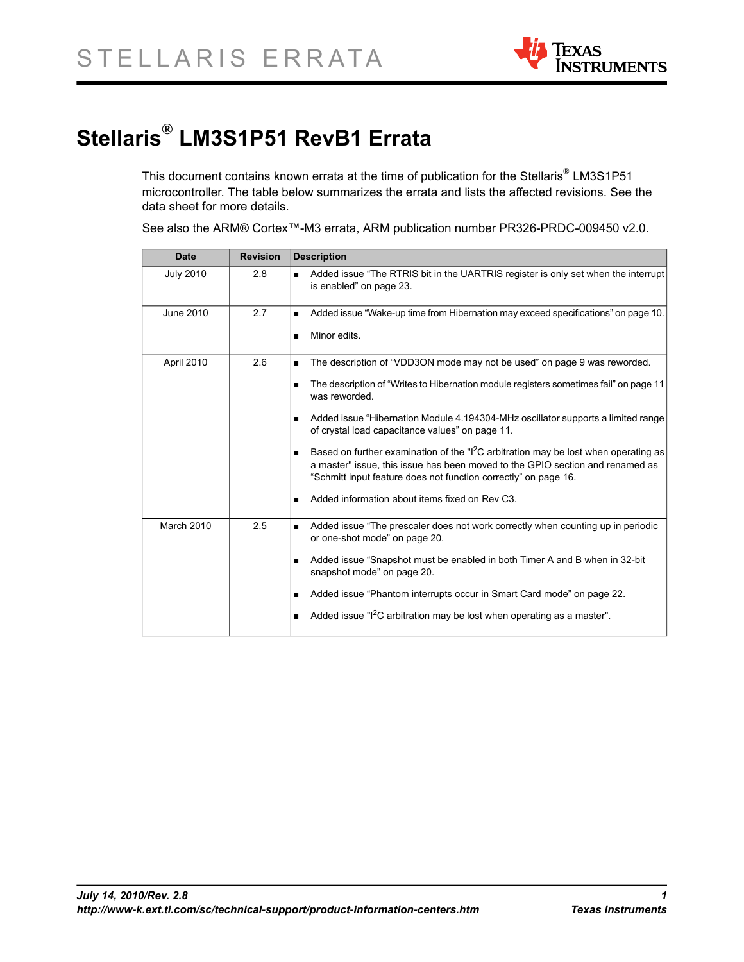

# **Stellaris® LM3S1P51 RevB1 Errata**

This document contains known errata at the time of publication for the Stellaris® LM3S1P51 microcontroller. The table below summarizes the errata and lists the affected revisions. See the data sheet for more details.

See also the ARM® Cortex™-M3 errata, ARM publication number PR326-PRDC-009450 v2.0.

| <b>Date</b>       | <b>Revision</b> | <b>Description</b>                                                                                                                                                                                                                                  |
|-------------------|-----------------|-----------------------------------------------------------------------------------------------------------------------------------------------------------------------------------------------------------------------------------------------------|
| <b>July 2010</b>  | 2.8             | Added issue "The RTRIS bit in the UARTRIS register is only set when the interrupt<br>$\blacksquare$<br>is enabled" on page 23.                                                                                                                      |
| June 2010         | 2.7             | Added issue "Wake-up time from Hibernation may exceed specifications" on page 10.<br>Minor edits.<br>٠                                                                                                                                              |
|                   |                 |                                                                                                                                                                                                                                                     |
| April 2010        | 2.6             | The description of "VDD3ON mode may not be used" on page 9 was reworded.                                                                                                                                                                            |
|                   |                 | The description of "Writes to Hibernation module registers sometimes fail" on page 11<br>was reworded.                                                                                                                                              |
|                   |                 | Added issue "Hibernation Module 4.194304-MHz oscillator supports a limited range<br>of crystal load capacitance values" on page 11.                                                                                                                 |
|                   |                 | Based on further examination of the "I <sup>2</sup> C arbitration may be lost when operating as<br>a master" issue, this issue has been moved to the GPIO section and renamed as<br>"Schmitt input feature does not function correctly" on page 16. |
|                   |                 | Added information about items fixed on Rev C3.<br>$\blacksquare$                                                                                                                                                                                    |
| <b>March 2010</b> | 2.5             | Added issue "The prescaler does not work correctly when counting up in periodic<br>or one-shot mode" on page 20.                                                                                                                                    |
|                   |                 | Added issue "Snapshot must be enabled in both Timer A and B when in 32-bit<br>snapshot mode" on page 20.                                                                                                                                            |
|                   |                 | Added issue "Phantom interrupts occur in Smart Card mode" on page 22.<br>٠                                                                                                                                                                          |
|                   |                 | Added issue " $12C$ arbitration may be lost when operating as a master".                                                                                                                                                                            |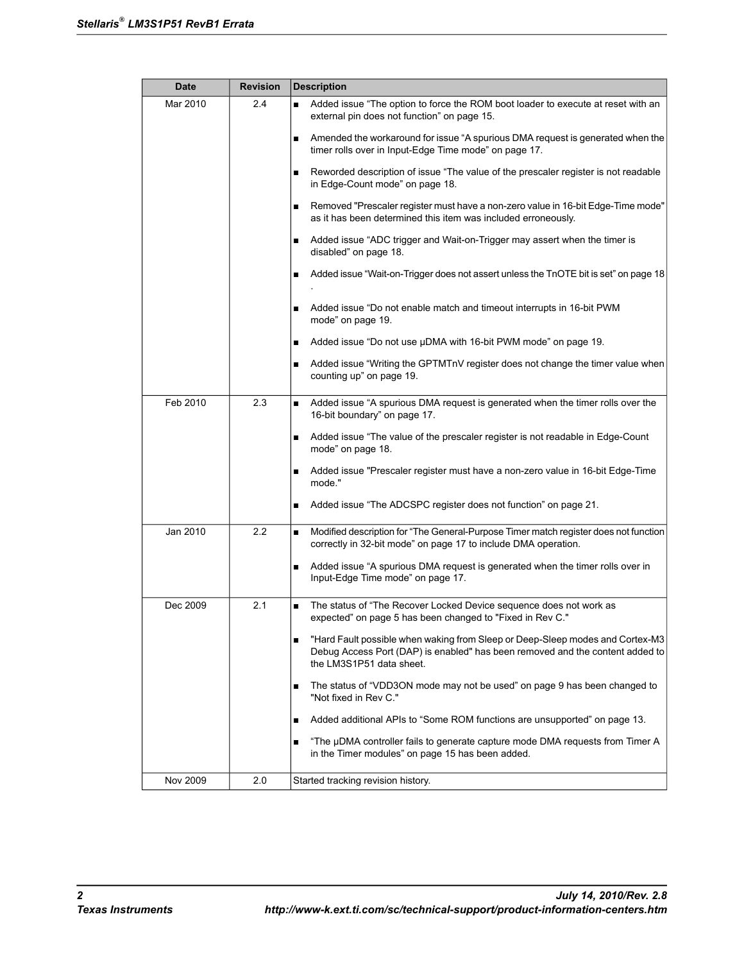| <b>Date</b> | <b>Revision</b> | <b>Description</b>                                                                                                                                                                              |  |  |
|-------------|-----------------|-------------------------------------------------------------------------------------------------------------------------------------------------------------------------------------------------|--|--|
| Mar 2010    | 2.4             | Added issue "The option to force the ROM boot loader to execute at reset with an<br>$\blacksquare$<br>external pin does not function" on page 15.                                               |  |  |
|             |                 | Amended the workaround for issue "A spurious DMA request is generated when the<br>٠<br>timer rolls over in Input-Edge Time mode" on page 17.                                                    |  |  |
|             |                 | Reworded description of issue "The value of the prescaler register is not readable<br>٠<br>in Edge-Count mode" on page 18.                                                                      |  |  |
|             |                 | Removed "Prescaler register must have a non-zero value in 16-bit Edge-Time mode"<br>п<br>as it has been determined this item was included erroneously.                                          |  |  |
|             |                 | Added issue "ADC trigger and Wait-on-Trigger may assert when the timer is<br>disabled" on page 18.                                                                                              |  |  |
|             |                 | Added issue "Wait-on-Trigger does not assert unless the TnOTE bit is set" on page 18<br>п                                                                                                       |  |  |
|             |                 | Added issue "Do not enable match and timeout interrupts in 16-bit PWM<br>п<br>mode" on page 19.                                                                                                 |  |  |
|             |                 | Added issue "Do not use µDMA with 16-bit PWM mode" on page 19.                                                                                                                                  |  |  |
|             |                 | Added issue "Writing the GPTMTnV register does not change the timer value when<br>counting up" on page 19.                                                                                      |  |  |
| Feb 2010    | 2.3             | Added issue "A spurious DMA request is generated when the timer rolls over the<br>$\blacksquare$<br>16-bit boundary" on page 17.                                                                |  |  |
|             |                 | Added issue "The value of the prescaler register is not readable in Edge-Count<br>п<br>mode" on page 18.                                                                                        |  |  |
|             |                 | Added issue "Prescaler register must have a non-zero value in 16-bit Edge-Time<br>mode."                                                                                                        |  |  |
|             |                 | Added issue "The ADCSPC register does not function" on page 21.<br>п                                                                                                                            |  |  |
| Jan 2010    | 2.2             | Modified description for "The General-Purpose Timer match register does not function<br>$\blacksquare$<br>correctly in 32-bit mode" on page 17 to include DMA operation.                        |  |  |
|             |                 | Added issue "A spurious DMA request is generated when the timer rolls over in<br>٠<br>Input-Edge Time mode" on page 17.                                                                         |  |  |
| Dec 2009    | 2.1             | The status of "The Recover Locked Device sequence does not work as<br>$\blacksquare$<br>expected" on page 5 has been changed to "Fixed in Rev C."                                               |  |  |
|             |                 | "Hard Fault possible when waking from Sleep or Deep-Sleep modes and Cortex-M3<br>п<br>Debug Access Port (DAP) is enabled" has been removed and the content added to<br>the LM3S1P51 data sheet. |  |  |
|             |                 | The status of "VDD3ON mode may not be used" on page 9 has been changed to<br>п<br>"Not fixed in Rev C."                                                                                         |  |  |
|             |                 | Added additional APIs to "Some ROM functions are unsupported" on page 13.<br>п                                                                                                                  |  |  |
|             |                 | "The µDMA controller fails to generate capture mode DMA requests from Timer A<br>п<br>in the Timer modules" on page 15 has been added.                                                          |  |  |
| Nov 2009    | 2.0             | Started tracking revision history.                                                                                                                                                              |  |  |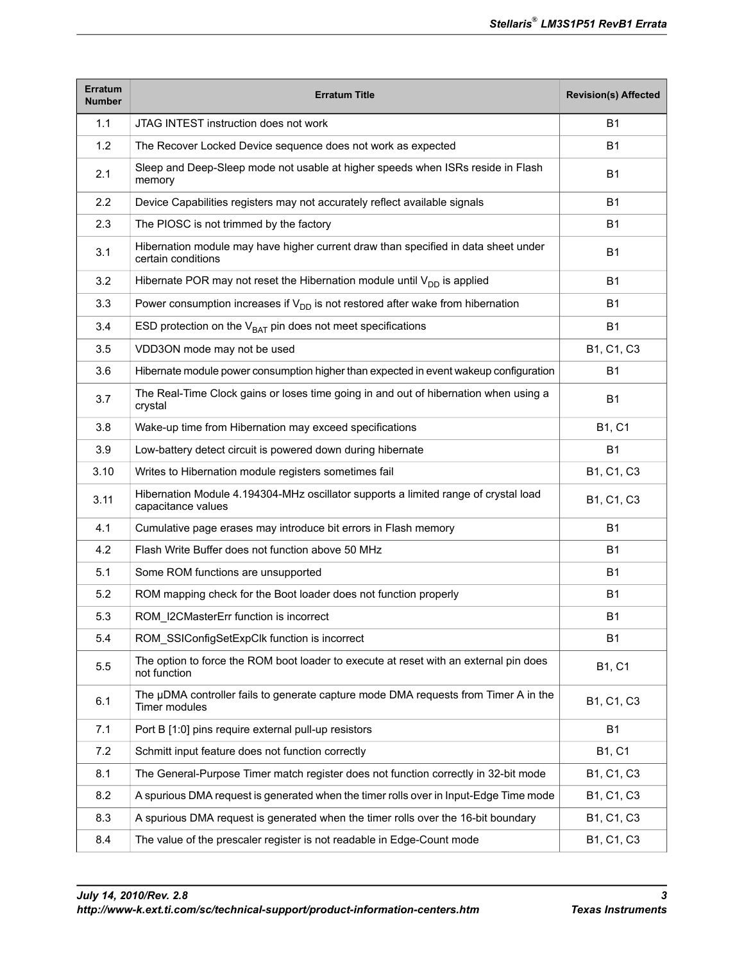| <b>Erratum</b><br><b>Number</b> | Erratum Title                                                                                             | <b>Revision(s) Affected</b> |
|---------------------------------|-----------------------------------------------------------------------------------------------------------|-----------------------------|
| 1.1                             | JTAG INTEST instruction does not work                                                                     | <b>B1</b>                   |
| 1.2                             | The Recover Locked Device sequence does not work as expected                                              | <b>B1</b>                   |
| 2.1                             | Sleep and Deep-Sleep mode not usable at higher speeds when ISRs reside in Flash<br>memory                 | <b>B1</b>                   |
| 2.2                             | Device Capabilities registers may not accurately reflect available signals                                | <b>B1</b>                   |
| 2.3                             | The PIOSC is not trimmed by the factory                                                                   | <b>B1</b>                   |
| 3.1                             | Hibernation module may have higher current draw than specified in data sheet under<br>certain conditions  | <b>B1</b>                   |
| 3.2                             | Hibernate POR may not reset the Hibernation module until $V_{DD}$ is applied                              | <b>B1</b>                   |
| 3.3                             | Power consumption increases if $V_{DD}$ is not restored after wake from hibernation                       | B1                          |
| 3.4                             | ESD protection on the $V_{BAT}$ pin does not meet specifications                                          | <b>B1</b>                   |
| 3.5                             | VDD3ON mode may not be used                                                                               | B1, C1, C3                  |
| 3.6                             | Hibernate module power consumption higher than expected in event wakeup configuration                     | B1                          |
| 3.7                             | The Real-Time Clock gains or loses time going in and out of hibernation when using a<br>crystal           | <b>B1</b>                   |
| 3.8                             | Wake-up time from Hibernation may exceed specifications                                                   | B1, C1                      |
| 3.9                             | Low-battery detect circuit is powered down during hibernate                                               | <b>B1</b>                   |
| 3.10                            | Writes to Hibernation module registers sometimes fail                                                     | B1, C1, C3                  |
| 3.11                            | Hibernation Module 4.194304-MHz oscillator supports a limited range of crystal load<br>capacitance values | B1, C1, C3                  |
| 4.1                             | Cumulative page erases may introduce bit errors in Flash memory                                           | <b>B1</b>                   |
| 4.2                             | Flash Write Buffer does not function above 50 MHz                                                         | <b>B1</b>                   |
| 5.1                             | Some ROM functions are unsupported                                                                        | <b>B1</b>                   |
| 5.2                             | ROM mapping check for the Boot loader does not function properly                                          | <b>B1</b>                   |
| 5.3                             | ROM_I2CMasterErr function is incorrect                                                                    | B1                          |
| 5.4                             | ROM_SSIConfigSetExpClk function is incorrect                                                              | <b>B1</b>                   |
| 5.5                             | The option to force the ROM boot loader to execute at reset with an external pin does<br>not function     | B1, C1                      |
| 6.1                             | The µDMA controller fails to generate capture mode DMA requests from Timer A in the<br>Timer modules      | B1, C1, C3                  |
| 7.1                             | Port B [1:0] pins require external pull-up resistors                                                      | <b>B1</b>                   |
| 7.2                             | Schmitt input feature does not function correctly                                                         | B1, C1                      |
| 8.1                             | The General-Purpose Timer match register does not function correctly in 32-bit mode                       | B1, C1, C3                  |
| 8.2                             | A spurious DMA request is generated when the timer rolls over in Input-Edge Time mode                     | B1, C1, C3                  |
| 8.3                             | A spurious DMA request is generated when the timer rolls over the 16-bit boundary                         | B1, C1, C3                  |
| 8.4                             | The value of the prescaler register is not readable in Edge-Count mode                                    | B1, C1, C3                  |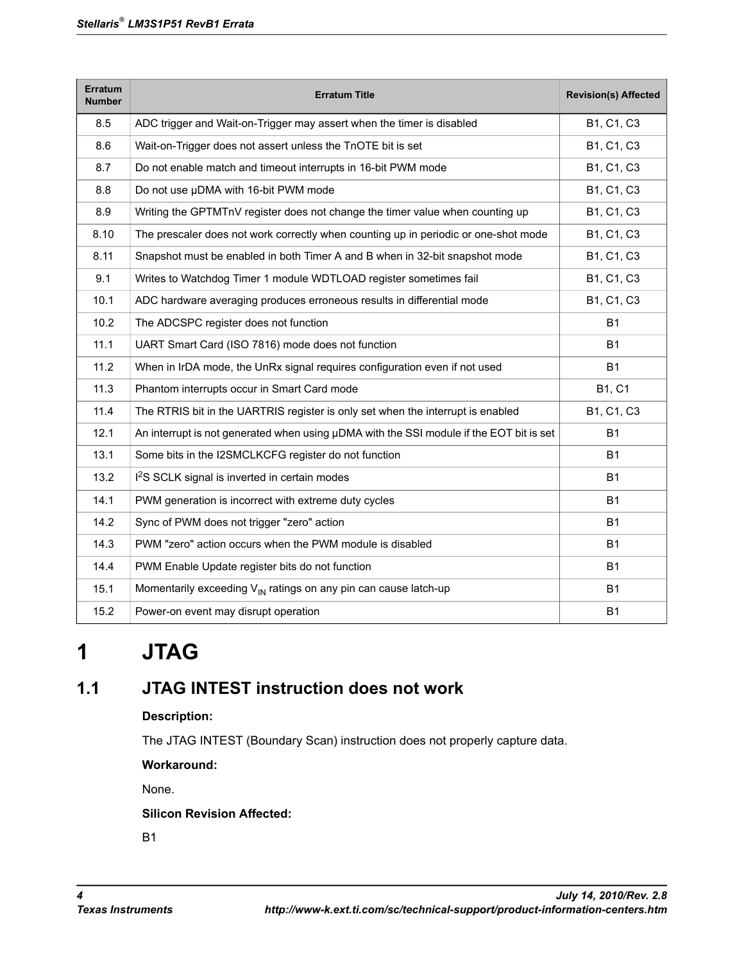| <b>Erratum</b><br><b>Number</b> | <b>Erratum Title</b>                                                                    | <b>Revision(s) Affected</b> |
|---------------------------------|-----------------------------------------------------------------------------------------|-----------------------------|
| 8.5                             | ADC trigger and Wait-on-Trigger may assert when the timer is disabled                   | B1, C1, C3                  |
| 8.6                             | Wait-on-Trigger does not assert unless the TnOTE bit is set                             | B1, C1, C3                  |
| 8.7                             | Do not enable match and timeout interrupts in 16-bit PWM mode                           | B1, C1, C3                  |
| 8.8                             | Do not use µDMA with 16-bit PWM mode                                                    | B1, C1, C3                  |
| 8.9                             | Writing the GPTMTnV register does not change the timer value when counting up           | B1, C1, C3                  |
| 8.10                            | The prescaler does not work correctly when counting up in periodic or one-shot mode     | B1, C1, C3                  |
| 8.11                            | Snapshot must be enabled in both Timer A and B when in 32-bit snapshot mode             | B1, C1, C3                  |
| 9.1                             | Writes to Watchdog Timer 1 module WDTLOAD register sometimes fail                       | B1, C1, C3                  |
| 10.1                            | ADC hardware averaging produces erroneous results in differential mode                  | B1, C1, C3                  |
| 10.2                            | The ADCSPC register does not function                                                   | <b>B1</b>                   |
| 11.1                            | UART Smart Card (ISO 7816) mode does not function                                       | <b>B1</b>                   |
| 11.2                            | When in IrDA mode, the UnRx signal requires configuration even if not used              | <b>B1</b>                   |
| 11.3                            | Phantom interrupts occur in Smart Card mode                                             | <b>B1, C1</b>               |
| 11.4                            | The RTRIS bit in the UARTRIS register is only set when the interrupt is enabled         | B1, C1, C3                  |
| 12.1                            | An interrupt is not generated when using µDMA with the SSI module if the EOT bit is set | <b>B1</b>                   |
| 13.1                            | Some bits in the I2SMCLKCFG register do not function                                    | <b>B1</b>                   |
| 13.2                            | I <sup>2</sup> S SCLK signal is inverted in certain modes                               | <b>B1</b>                   |
| 14.1                            | PWM generation is incorrect with extreme duty cycles                                    | <b>B1</b>                   |
| 14.2                            | Sync of PWM does not trigger "zero" action                                              | <b>B1</b>                   |
| 14.3                            | PWM "zero" action occurs when the PWM module is disabled                                | <b>B1</b>                   |
| 14.4                            | PWM Enable Update register bits do not function                                         | <b>B1</b>                   |
| 15.1                            | Momentarily exceeding $V_{\text{IN}}$ ratings on any pin can cause latch-up             | <b>B1</b>                   |
| 15.2                            | Power-on event may disrupt operation                                                    | <b>B1</b>                   |

# <span id="page-3-0"></span>**1 JTAG**

# **1.1 JTAG INTEST instruction does not work**

## **Description:**

The JTAG INTEST (Boundary Scan) instruction does not properly capture data.

### **Workaround:**

None.

### **Silicon Revision Affected:**

B1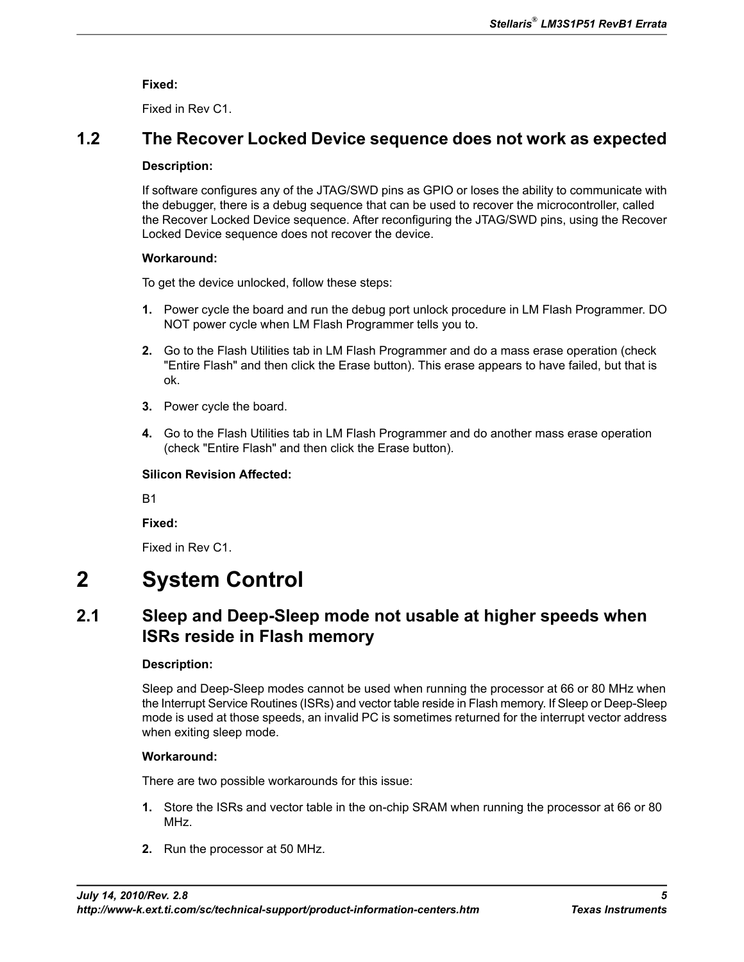**Fixed:**

Fixed in Rev C1.

# <span id="page-4-0"></span>**1.2 The Recover Locked Device sequence does not work as expected**

#### **Description:**

If software configures any of the JTAG/SWD pins as GPIO or loses the ability to communicate with the debugger, there is a debug sequence that can be used to recover the microcontroller, called the Recover Locked Device sequence. After reconfiguring the JTAG/SWD pins, using the Recover Locked Device sequence does not recover the device.

#### **Workaround:**

To get the device unlocked, follow these steps:

- **1.** Power cycle the board and run the debug port unlock procedure in LM Flash Programmer. DO NOT power cycle when LM Flash Programmer tells you to.
- **2.** Go to the Flash Utilities tab in LM Flash Programmer and do a mass erase operation (check "Entire Flash" and then click the Erase button). This erase appears to have failed, but that is ok.
- **3.** Power cycle the board.
- **4.** Go to the Flash Utilities tab in LM Flash Programmer and do another mass erase operation (check "Entire Flash" and then click the Erase button).

### **Silicon Revision Affected:**

B1

**Fixed:**

Fixed in Rev C1.

# <span id="page-4-1"></span>**2 System Control**

# **2.1 Sleep and Deep-Sleep mode not usable at higher speeds when ISRs reside in Flash memory**

### **Description:**

Sleep and Deep-Sleep modes cannot be used when running the processor at 66 or 80 MHz when the Interrupt Service Routines (ISRs) and vector table reside in Flash memory. If Sleep or Deep-Sleep mode is used at those speeds, an invalid PC is sometimes returned for the interrupt vector address when exiting sleep mode.

### **Workaround:**

There are two possible workarounds for this issue:

- **1.** Store the ISRs and vector table in the on-chip SRAM when running the processor at 66 or 80 MHz.
- **2.** Run the processor at 50 MHz.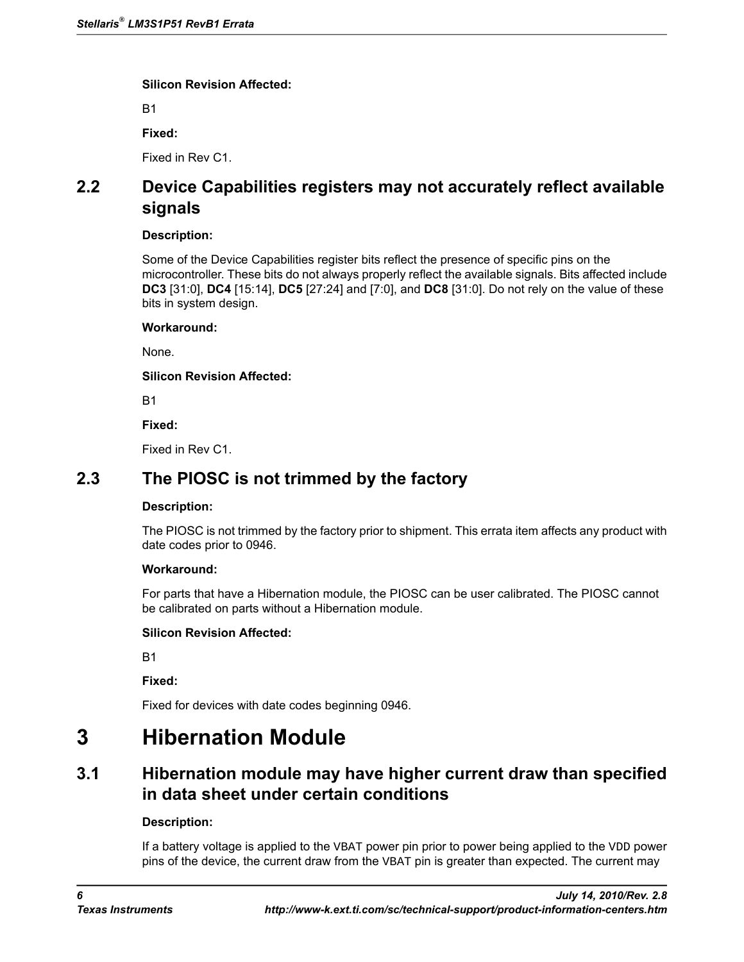B1

**Fixed:**

Fixed in Rev C1.

# <span id="page-5-0"></span>**2.2 Device Capabilities registers may not accurately reflect available signals**

#### **Description:**

Some of the Device Capabilities register bits reflect the presence of specific pins on the microcontroller. These bits do not always properly reflect the available signals. Bits affected include **DC3** [31:0], **DC4** [15:14], **DC5** [27:24] and [7:0], and **DC8** [31:0]. Do not rely on the value of these bits in system design.

#### **Workaround:**

None.

#### **Silicon Revision Affected:**

B1

**Fixed:**

Fixed in Rev C1.

# <span id="page-5-1"></span>**2.3 The PIOSC is not trimmed by the factory**

#### **Description:**

The PIOSC is not trimmed by the factory prior to shipment. This errata item affects any product with date codes prior to 0946.

### **Workaround:**

For parts that have a Hibernation module, the PIOSC can be user calibrated. The PIOSC cannot be calibrated on parts without a Hibernation module.

### **Silicon Revision Affected:**

B1

**Fixed:**

Fixed for devices with date codes beginning 0946.

# <span id="page-5-2"></span>**3 Hibernation Module**

# **3.1 Hibernation module may have higher current draw than specified in data sheet under certain conditions**

### **Description:**

If a battery voltage is applied to the VBAT power pin prior to power being applied to the VDD power pins of the device, the current draw from the VBAT pin is greater than expected. The current may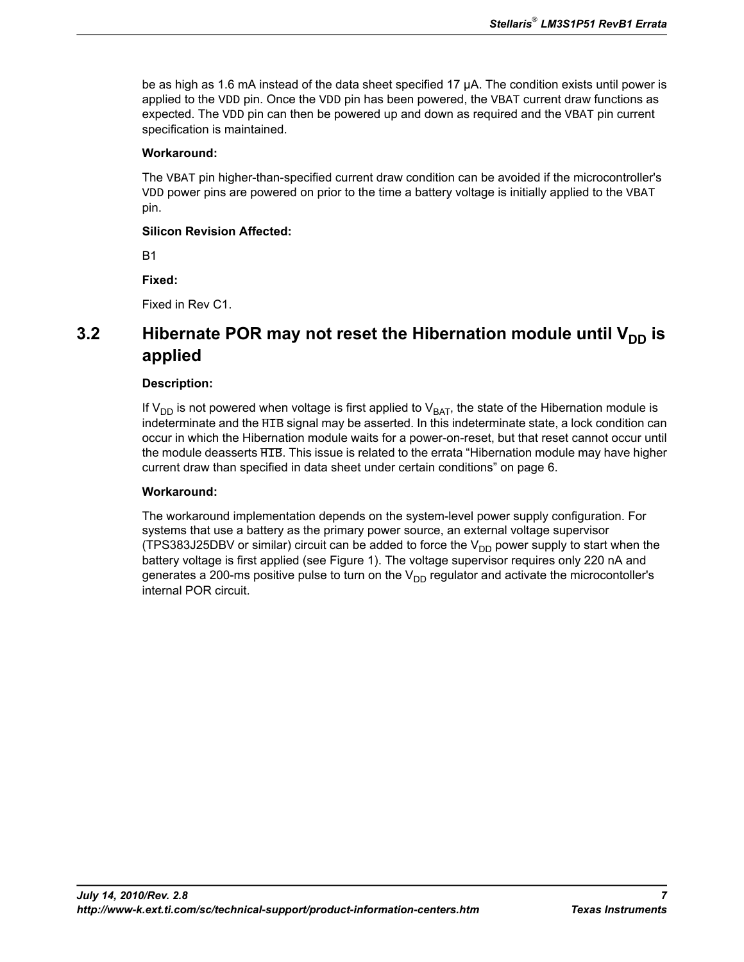be as high as 1.6 mA instead of the data sheet specified 17 µA. The condition exists until power is applied to the VDD pin. Once the VDD pin has been powered, the VBAT current draw functions as expected. The VDD pin can then be powered up and down as required and the VBAT pin current specification is maintained.

#### **Workaround:**

The VBAT pin higher-than-specified current draw condition can be avoided if the microcontroller's VDD power pins are powered on prior to the time a battery voltage is initially applied to the VBAT pin.

#### **Silicon Revision Affected:**

B1

### **Fixed:**

Fixed in Rev C1.

# <span id="page-6-0"></span>**3.2** Hibernate POR may not reset the Hibernation module until V<sub>DD</sub> is **applied**

#### **Description:**

If  $V_{DD}$  is not powered when voltage is first applied to  $V_{BAT}$ , the state of the Hibernation module is indeterminate and the  $\overline{HIB}$  signal may be asserted. In this indeterminate state, a lock condition can occur in which the Hibernation module waits for a power-on-reset, but that reset cannot occur until the module deasserts  $\overline{HIB}$ . This issue is related to the errata ["Hibernation module may have higher](#page-5-2) [current draw than specified in data sheet under certain conditions" on page 6](#page-5-2).

#### **Workaround:**

The workaround implementation depends on the system-level power supply configuration. For systems that use a battery as the primary power source, an external voltage supervisor (TPS383J25DBV or similar) circuit can be added to force the  $V_{DD}$  power supply to start when the battery voltage is first applied (see [Figure 1](#page-7-1)). The voltage supervisor requires only 220 nA and generates a 200-ms positive pulse to turn on the  $V_{DD}$  regulator and activate the microcontoller's internal POR circuit.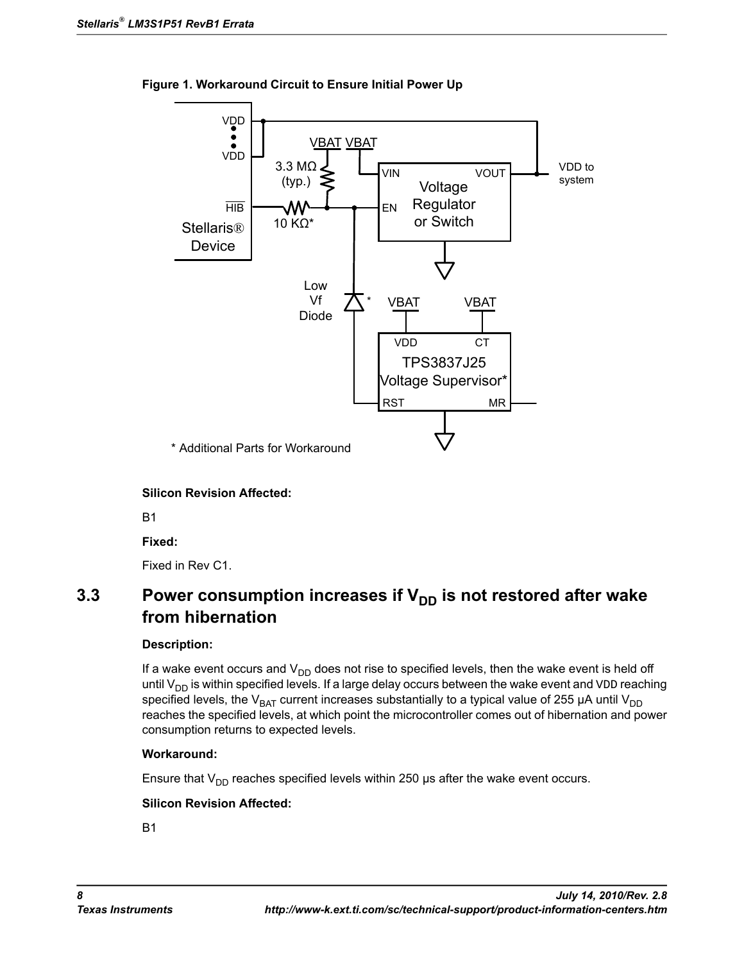

<span id="page-7-1"></span>**Figure 1. Workaround Circuit to Ensure Initial Power Up**

**Silicon Revision Affected:**

B1

**Fixed:**

Fixed in Rev C1.

# <span id="page-7-0"></span>**3.3** Power consumption increases if V<sub>DD</sub> is not restored after wake **from hibernation**

#### **Description:**

If a wake event occurs and  $V_{DD}$  does not rise to specified levels, then the wake event is held off until  $V_{DD}$  is within specified levels. If a large delay occurs between the wake event and  $V_{DD}$  reaching specified levels, the V<sub>BAT</sub> current increases substantially to a typical value of 255 µA until V<sub>DD</sub> reaches the specified levels, at which point the microcontroller comes out of hibernation and power consumption returns to expected levels.

#### **Workaround:**

Ensure that  $V_{DD}$  reaches specified levels within 250 μs after the wake event occurs.

#### **Silicon Revision Affected:**

B1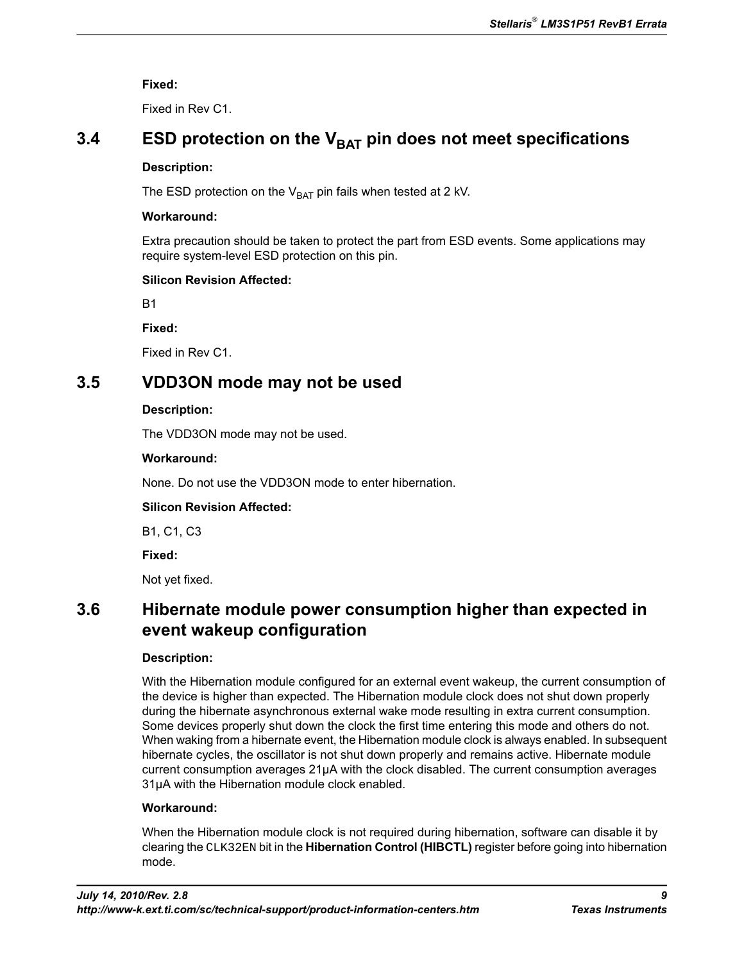**Fixed:**

Fixed in Rev C1.

# <span id="page-8-1"></span>**3.4 ESD protection on the VBAT pin does not meet specifications**

#### **Description:**

The ESD protection on the  $V_{BAT}$  pin fails when tested at 2 kV.

#### **Workaround:**

Extra precaution should be taken to protect the part from ESD events. Some applications may require system-level ESD protection on this pin.

#### **Silicon Revision Affected:**

B1

**Fixed:**

Fixed in Rev C1.

# <span id="page-8-0"></span>**3.5 VDD3ON mode may not be used**

#### **Description:**

The VDD3ON mode may not be used.

#### **Workaround:**

None. Do not use the VDD3ON mode to enter hibernation.

### **Silicon Revision Affected:**

B1, C1, C3

**Fixed:**

Not yet fixed.

# <span id="page-8-2"></span>**3.6 Hibernate module power consumption higher than expected in event wakeup configuration**

### **Description:**

With the Hibernation module configured for an external event wakeup, the current consumption of the device is higher than expected. The Hibernation module clock does not shut down properly during the hibernate asynchronous external wake mode resulting in extra current consumption. Some devices properly shut down the clock the first time entering this mode and others do not. When waking from a hibernate event, the Hibernation module clock is always enabled. In subsequent hibernate cycles, the oscillator is not shut down properly and remains active. Hibernate module current consumption averages 21µA with the clock disabled. The current consumption averages 31µA with the Hibernation module clock enabled.

### **Workaround:**

When the Hibernation module clock is not required during hibernation, software can disable it by clearing the CLK32EN bit in the **Hibernation Control (HIBCTL)** register before going into hibernation mode.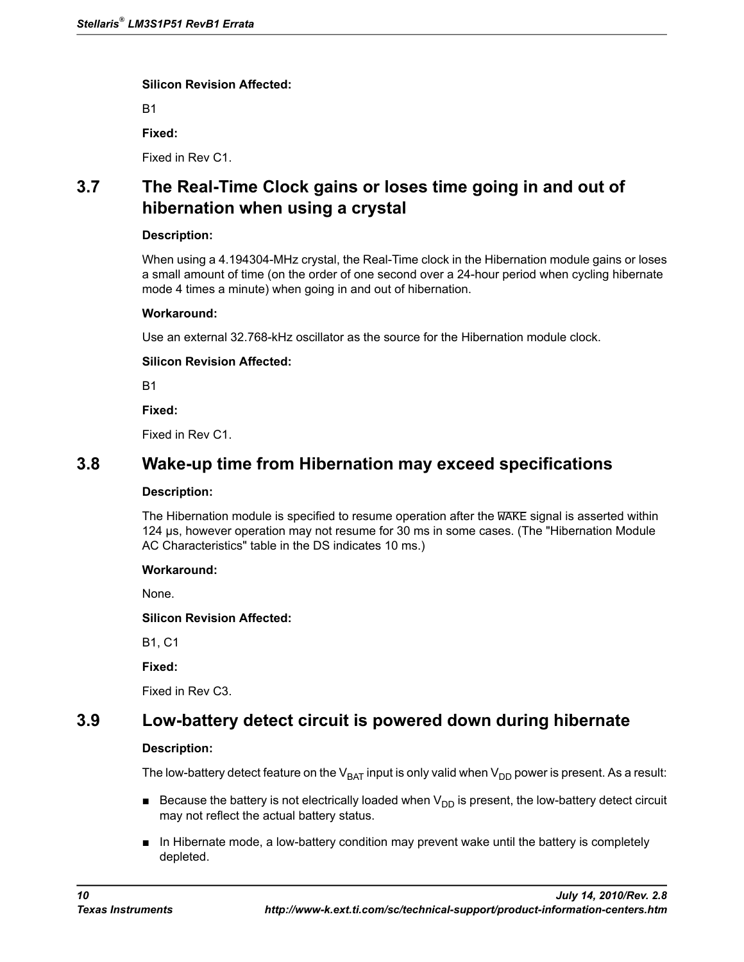B1

**Fixed:**

Fixed in Rev C1.

# <span id="page-9-1"></span>**3.7 The Real-Time Clock gains or loses time going in and out of hibernation when using a crystal**

#### **Description:**

When using a 4.194304-MHz crystal, the Real-Time clock in the Hibernation module gains or loses a small amount of time (on the order of one second over a 24-hour period when cycling hibernate mode 4 times a minute) when going in and out of hibernation.

#### **Workaround:**

Use an external 32.768-kHz oscillator as the source for the Hibernation module clock.

#### **Silicon Revision Affected:**

B1

**Fixed:**

Fixed in Rev C1.

## <span id="page-9-0"></span>**3.8 Wake-up time from Hibernation may exceed specifications**

#### **Description:**

The Hibernation module is specified to resume operation after the  $\overline{WAKE}$  signal is asserted within 124 µs, however operation may not resume for 30 ms in some cases. (The "Hibernation Module AC Characteristics" table in the DS indicates 10 ms.)

#### **Workaround:**

None.

**Silicon Revision Affected:**

<span id="page-9-2"></span>B1, C1

**Fixed:**

Fixed in Rev C3.

# **3.9 Low-battery detect circuit is powered down during hibernate**

### **Description:**

The low-battery detect feature on the  $V_{BAT}$  input is only valid when  $V_{DD}$  power is present. As a result:

- **■** Because the battery is not electrically loaded when  $V_{DD}$  is present, the low-battery detect circuit may not reflect the actual battery status.
- In Hibernate mode, a low-battery condition may prevent wake until the battery is completely depleted.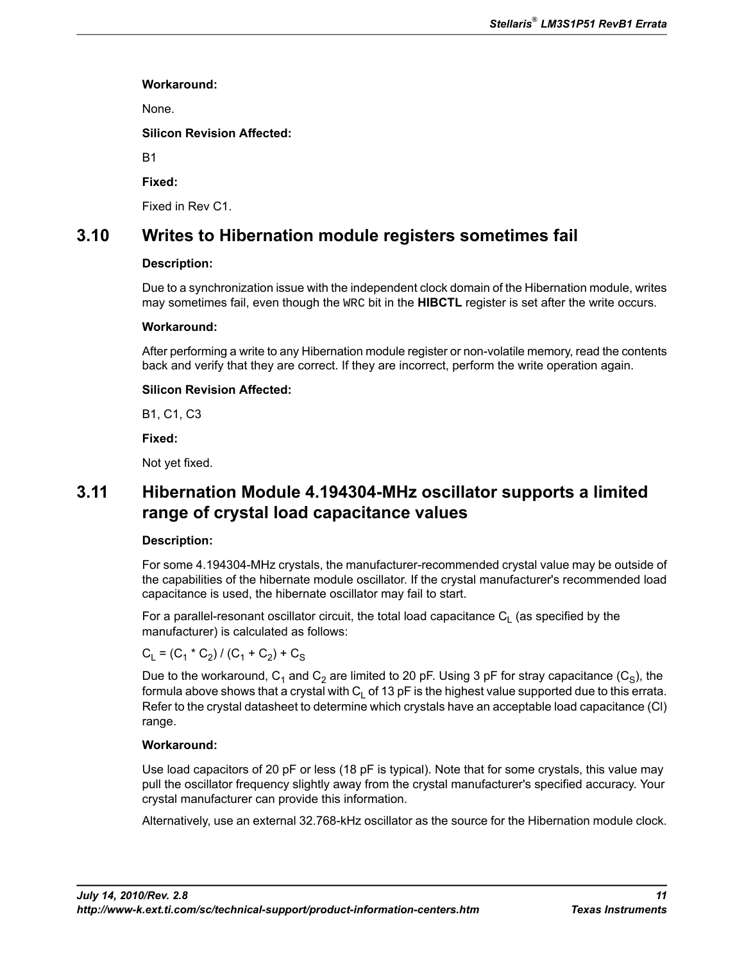#### **Workaround:**

None.

**Silicon Revision Affected:**

B1

**Fixed:**

Fixed in Rev C1.

# <span id="page-10-0"></span>**3.10 Writes to Hibernation module registers sometimes fail**

### **Description:**

Due to a synchronization issue with the independent clock domain of the Hibernation module, writes may sometimes fail, even though the WRC bit in the **HIBCTL** register is set after the write occurs.

### **Workaround:**

After performing a write to any Hibernation module register or non-volatile memory, read the contents back and verify that they are correct. If they are incorrect, perform the write operation again.

### **Silicon Revision Affected:**

B1, C1, C3

**Fixed:**

Not yet fixed.

# <span id="page-10-1"></span>**3.11 Hibernation Module 4.194304-MHz oscillator supports a limited range of crystal load capacitance values**

### **Description:**

For some 4.194304-MHz crystals, the manufacturer-recommended crystal value may be outside of the capabilities of the hibernate module oscillator. If the crystal manufacturer's recommended load capacitance is used, the hibernate oscillator may fail to start.

For a parallel-resonant oscillator circuit, the total load capacitance  $\mathsf{C}_\mathsf{L}$  (as specified by the manufacturer) is calculated as follows:

$$
C_L = (C_1 * C_2) / (C_1 + C_2) + C_S
$$

Due to the workaround,  ${\sf C}_1$  and  ${\sf C}_2$  are limited to 20 pF. Using 3 pF for stray capacitance ( ${\sf C}_{{\rm S}}$ ), the formula above shows that a crystal with  $C_1$  of 13 pF is the highest value supported due to this errata. Refer to the crystal datasheet to determine which crystals have an acceptable load capacitance (Cl) range.

### **Workaround:**

Use load capacitors of 20 pF or less (18 pF is typical). Note that for some crystals, this value may pull the oscillator frequency slightly away from the crystal manufacturer's specified accuracy. Your crystal manufacturer can provide this information.

Alternatively, use an external 32.768-kHz oscillator as the source for the Hibernation module clock.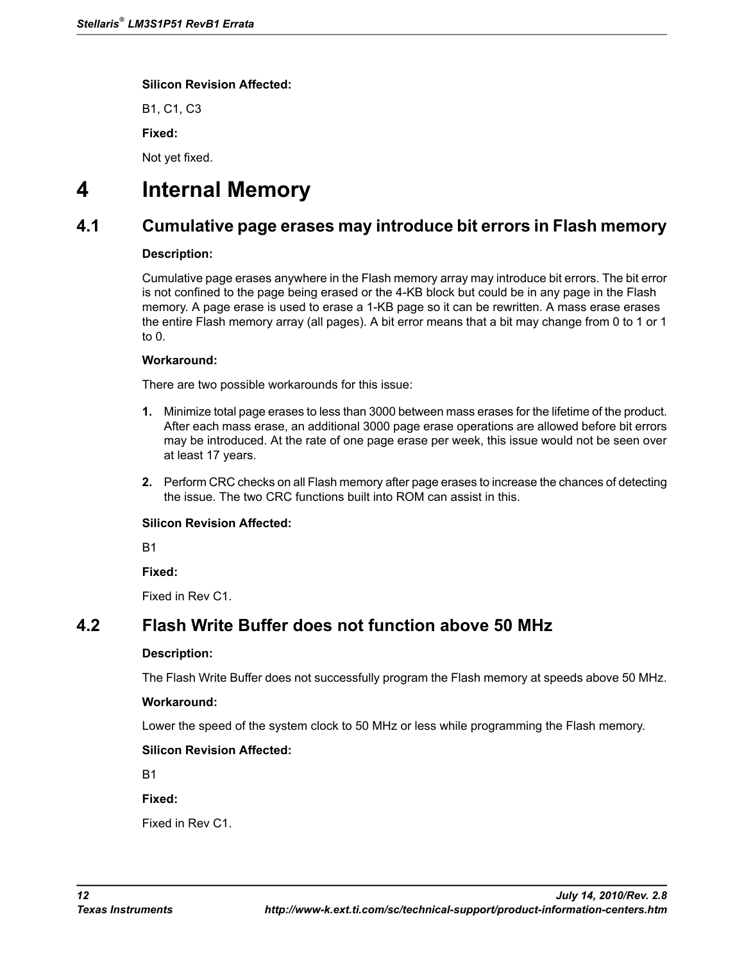B1, C1, C3 **Fixed:**

Not yet fixed.

# <span id="page-11-0"></span>**4 Internal Memory**

# **4.1 Cumulative page erases may introduce bit errors in Flash memory**

### **Description:**

Cumulative page erases anywhere in the Flash memory array may introduce bit errors. The bit error is not confined to the page being erased or the 4-KB block but could be in any page in the Flash memory. A page erase is used to erase a 1-KB page so it can be rewritten. A mass erase erases the entire Flash memory array (all pages). A bit error means that a bit may change from 0 to 1 or 1 to 0.

### **Workaround:**

There are two possible workarounds for this issue:

- **1.** Minimize total page erases to less than 3000 between mass erases for the lifetime of the product. After each mass erase, an additional 3000 page erase operations are allowed before bit errors may be introduced. At the rate of one page erase per week, this issue would not be seen over at least 17 years.
- **2.** Perform CRC checks on all Flash memory after page erases to increase the chances of detecting the issue. The two CRC functions built into ROM can assist in this.

### **Silicon Revision Affected:**

B1

**Fixed:**

Fixed in Rev C1.

# <span id="page-11-1"></span>**4.2 Flash Write Buffer does not function above 50 MHz**

### **Description:**

The Flash Write Buffer does not successfully program the Flash memory at speeds above 50 MHz.

### **Workaround:**

Lower the speed of the system clock to 50 MHz or less while programming the Flash memory.

## **Silicon Revision Affected:**

B1

**Fixed:**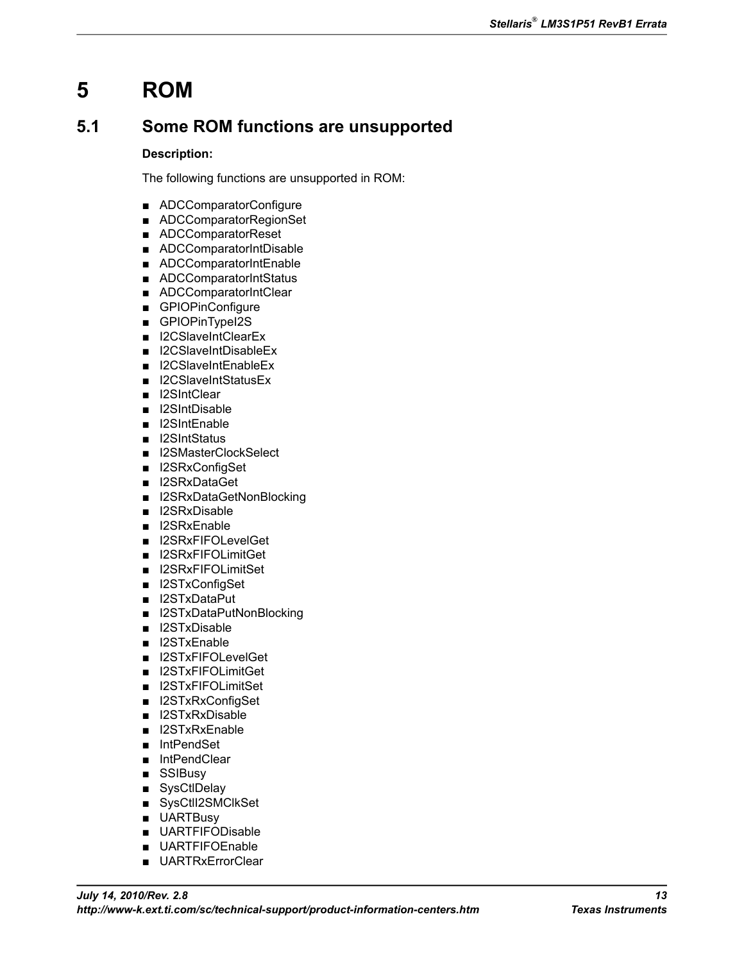# **5 ROM**

# <span id="page-12-0"></span>**5.1 Some ROM functions are unsupported**

### **Description:**

The following functions are unsupported in ROM:

- ADCComparatorConfigure
- ADCComparatorRegionSet
- ADCComparatorReset
- ADCComparatorIntDisable
- ADCComparatorIntEnable
- ADCComparatorIntStatus
- ADCComparatorIntClear
- GPIOPinConfigure
- GPIOPinTypeI2S
- I2CSlaveIntClearEx
- I2CSlaveIntDisableEx
- I2CSlaveIntEnableEx
- I2CSlaveIntStatusEx
- I2SIntClear
- I2SIntDisable
- I2SIntEnable
- I2SIntStatus
- I2SMasterClockSelect
- I2SRxConfigSet
- I2SRxDataGet
- I2SRxDataGetNonBlocking
- I2SRxDisable
- I2SRxEnable
- I2SRxFIFOLevelGet
- I2SRxFIFOLimitGet
- I2SRxFIFOLimitSet
- I2STxConfigSet
- I2STxDataPut
- I2STxDataPutNonBlocking
- I2STxDisable
- I2STxEnable
- I2STxFIFOLevelGet
- I2STxFIFOLimitGet
- I2STxFIFOLimitSet
- I2STxRxConfigSet
- I2STxRxDisable
- I2STxRxEnable
- IntPendSet
- IntPendClear
- SSIBusy
- SysCtlDelay
- SysCtII2SMClkSet
- UARTBusy
- UARTFIFODisable
- **UARTFIFOEnable**
- UARTRxErrorClear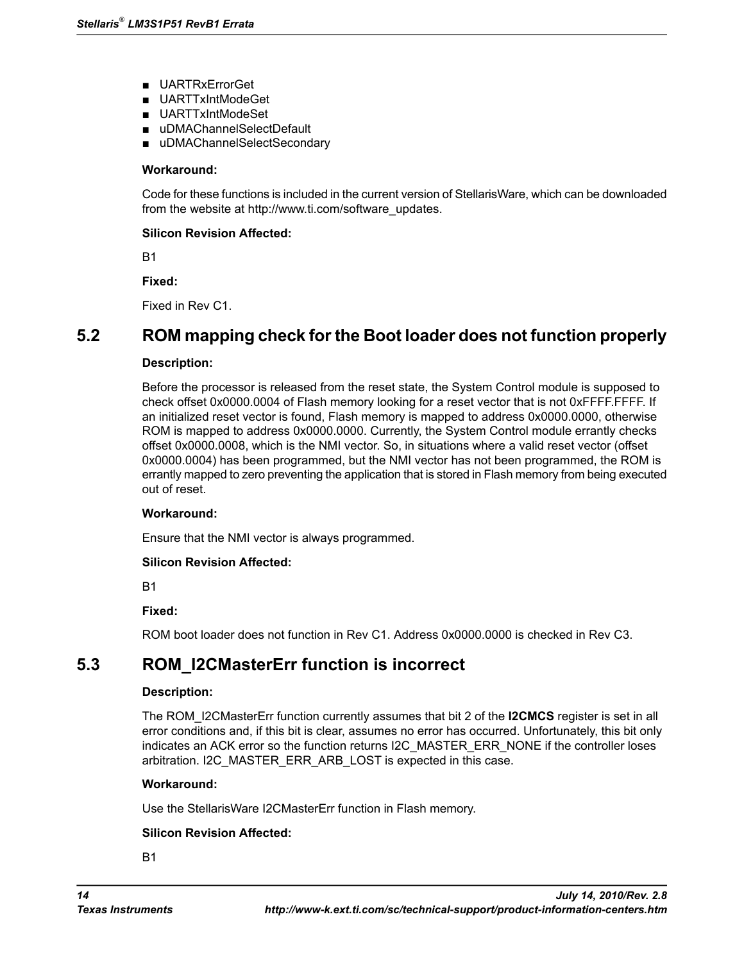- UARTRxErrorGet
- UARTTxIntModeGet
- UARTTxIntModeSet
- uDMAChannelSelectDefault
- uDMAChannelSelectSecondary

#### **Workaround:**

Code for these functions is included in the current version of StellarisWare, which can be downloaded from the website at http://www.ti.com/software\_updates.

#### **Silicon Revision Affected:**

B1

**Fixed:**

Fixed in Rev C1.

## <span id="page-13-0"></span>**5.2 ROM mapping check for the Boot loader does not function properly**

#### **Description:**

Before the processor is released from the reset state, the System Control module is supposed to check offset 0x0000.0004 of Flash memory looking for a reset vector that is not 0xFFFF.FFFF. If an initialized reset vector is found, Flash memory is mapped to address 0x0000.0000, otherwise ROM is mapped to address 0x0000.0000. Currently, the System Control module errantly checks offset 0x0000.0008, which is the NMI vector. So, in situations where a valid reset vector (offset 0x0000.0004) has been programmed, but the NMI vector has not been programmed, the ROM is errantly mapped to zero preventing the application that is stored in Flash memory from being executed out of reset.

#### **Workaround:**

Ensure that the NMI vector is always programmed.

#### **Silicon Revision Affected:**

B1

#### **Fixed:**

ROM boot loader does not function in Rev C1. Address 0x0000.0000 is checked in Rev C3.

## <span id="page-13-1"></span>**5.3 ROM\_I2CMasterErr function is incorrect**

#### **Description:**

The ROM\_I2CMasterErr function currently assumes that bit 2 of the **I2CMCS** register is set in all error conditions and, if this bit is clear, assumes no error has occurred. Unfortunately, this bit only indicates an ACK error so the function returns I2C\_MASTER\_ERR\_NONE if the controller loses arbitration. I2C\_MASTER\_ERR\_ARB\_LOST is expected in this case.

#### **Workaround:**

Use the StellarisWare I2CMasterErr function in Flash memory.

#### **Silicon Revision Affected:**

B1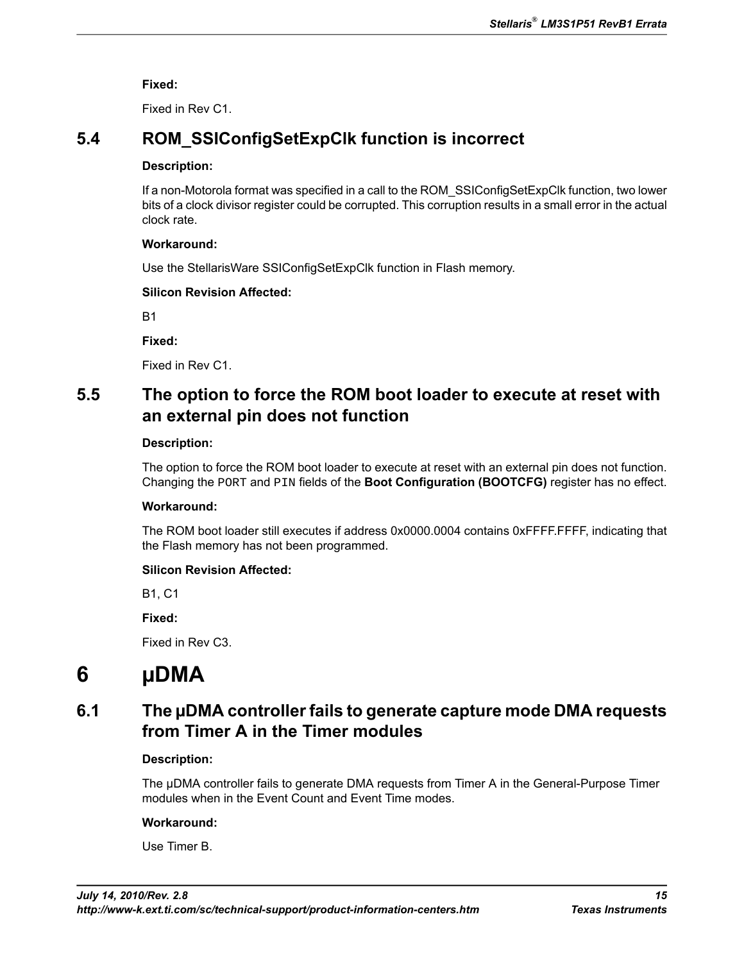**Fixed:**

Fixed in Rev C1.

# <span id="page-14-2"></span>**5.4 ROM\_SSIConfigSetExpClk function is incorrect**

#### **Description:**

If a non-Motorola format was specified in a call to the ROM\_SSIConfigSetExpClk function, two lower bits of a clock divisor register could be corrupted. This corruption results in a small error in the actual clock rate.

#### **Workaround:**

Use the StellarisWare SSIConfigSetExpClk function in Flash memory.

### **Silicon Revision Affected:**

B1

**Fixed:**

Fixed in Rev C1.

# <span id="page-14-0"></span>**5.5 The option to force the ROM boot loader to execute at reset with an external pin does not function**

#### **Description:**

The option to force the ROM boot loader to execute at reset with an external pin does not function. Changing the PORT and PIN fields of the **Boot Configuration (BOOTCFG)** register has no effect.

### **Workaround:**

The ROM boot loader still executes if address 0x0000.0004 contains 0xFFFF.FFFF, indicating that the Flash memory has not been programmed.

### **Silicon Revision Affected:**

B1, C1

**Fixed:**

Fixed in Rev C3.

# <span id="page-14-1"></span>**6 µDMA**

# **6.1 The µDMA controller fails to generate capture mode DMA requests from Timer A in the Timer modules**

### **Description:**

The µDMA controller fails to generate DMA requests from Timer A in the General-Purpose Timer modules when in the Event Count and Event Time modes.

#### **Workaround:**

Use Timer B.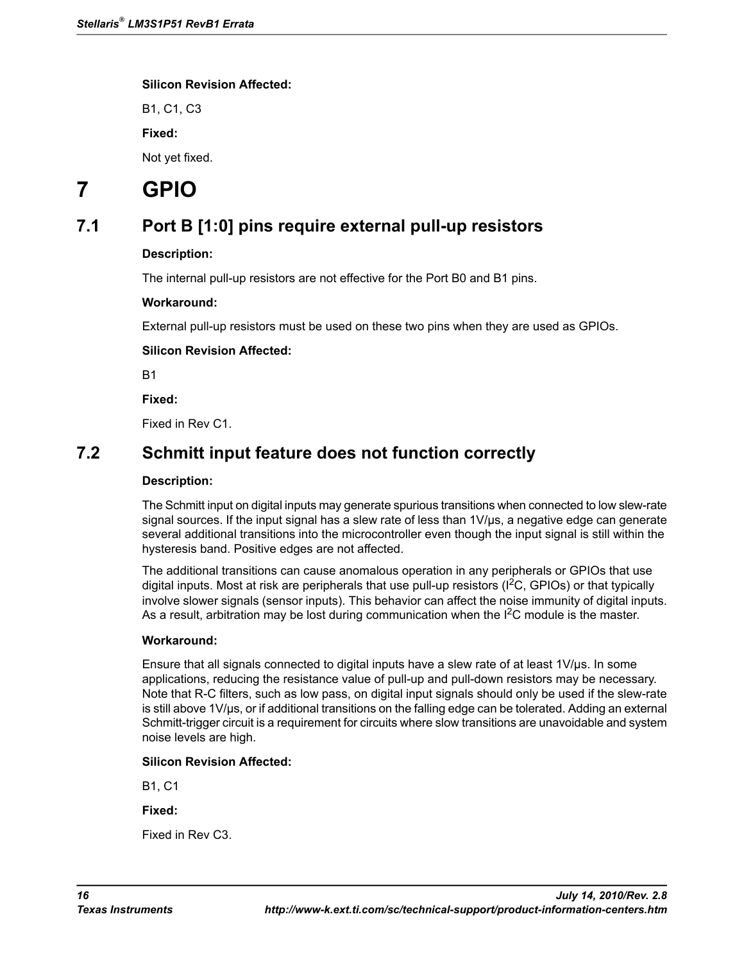B1, C1, C3 **Fixed:**

Not yet fixed.

# <span id="page-15-1"></span>**7 GPIO**

# **7.1 Port B [1:0] pins require external pull-up resistors**

### **Description:**

The internal pull-up resistors are not effective for the Port B0 and B1 pins.

#### **Workaround:**

External pull-up resistors must be used on these two pins when they are used as GPIOs.

### **Silicon Revision Affected:**

B1

**Fixed:**

Fixed in Rev C1.

# <span id="page-15-0"></span>**7.2 Schmitt input feature does not function correctly**

#### **Description:**

The Schmitt input on digital inputs may generate spurious transitions when connected to low slew-rate signal sources. If the input signal has a slew rate of less than  $1 \vee / \mu s$ , a negative edge can generate several additional transitions into the microcontroller even though the input signal is still within the hysteresis band. Positive edges are not affected.

The additional transitions can cause anomalous operation in any peripherals or GPIOs that use digital inputs. Most at risk are peripherals that use pull-up resistors ( ${}^{12}C$ , GPIOs) or that typically involve slower signals (sensor inputs). This behavior can affect the noise immunity of digital inputs. As a result, arbitration may be lost during communication when the  $I<sup>2</sup>C$  module is the master.

#### **Workaround:**

Ensure that all signals connected to digital inputs have a slew rate of at least 1V/µs. In some applications, reducing the resistance value of pull-up and pull-down resistors may be necessary. Note that R-C filters, such as low pass, on digital input signals should only be used if the slew-rate is still above 1V/µs, or if additional transitions on the falling edge can be tolerated. Adding an external Schmitt-trigger circuit is a requirement for circuits where slow transitions are unavoidable and system noise levels are high.

### **Silicon Revision Affected:**

B1, C1

**Fixed:**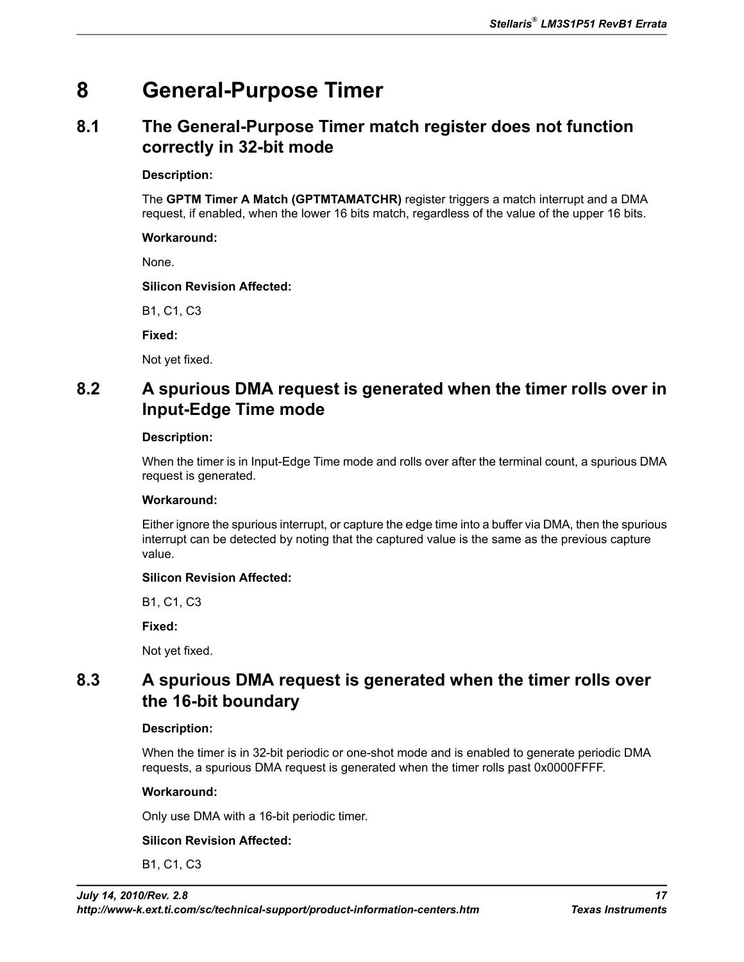# **8 General-Purpose Timer**

# <span id="page-16-2"></span>**8.1 The General-Purpose Timer match register does not function correctly in 32-bit mode**

### **Description:**

The **GPTM Timer A Match (GPTMTAMATCHR)** register triggers a match interrupt and a DMA request, if enabled, when the lower 16 bits match, regardless of the value of the upper 16 bits.

#### **Workaround:**

None.

#### **Silicon Revision Affected:**

B1, C1, C3

**Fixed:**

Not yet fixed.

# <span id="page-16-0"></span>**8.2 A spurious DMA request is generated when the timer rolls over in Input-Edge Time mode**

#### **Description:**

When the timer is in Input-Edge Time mode and rolls over after the terminal count, a spurious DMA request is generated.

### **Workaround:**

Either ignore the spurious interrupt, or capture the edge time into a buffer via DMA, then the spurious interrupt can be detected by noting that the captured value is the same as the previous capture value.

### **Silicon Revision Affected:**

B1, C1, C3

**Fixed:**

Not yet fixed.

# <span id="page-16-1"></span>**8.3 A spurious DMA request is generated when the timer rolls over the 16-bit boundary**

### **Description:**

When the timer is in 32-bit periodic or one-shot mode and is enabled to generate periodic DMA requests, a spurious DMA request is generated when the timer rolls past 0x0000FFFF.

### **Workaround:**

Only use DMA with a 16-bit periodic timer.

### **Silicon Revision Affected:**

B1, C1, C3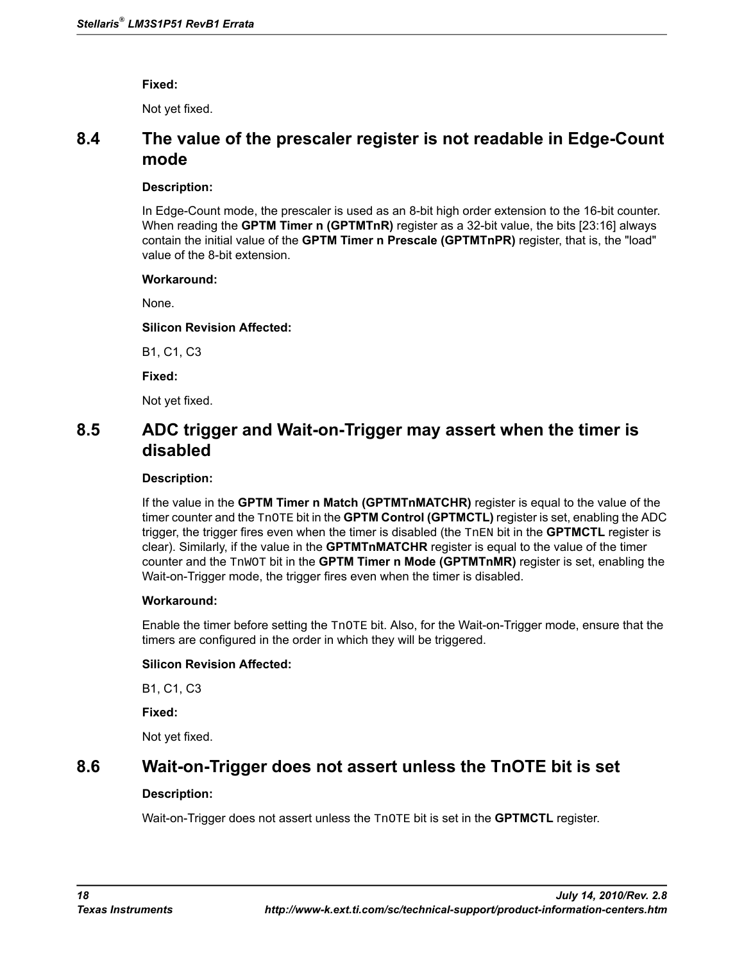**Fixed:**

Not yet fixed.

## <span id="page-17-0"></span>**8.4 The value of the prescaler register is not readable in Edge-Count mode**

#### **Description:**

In Edge-Count mode, the prescaler is used as an 8-bit high order extension to the 16-bit counter. When reading the **GPTM Timer n (GPTMTnR)** register as a 32-bit value, the bits [23:16] always contain the initial value of the **GPTM Timer n Prescale (GPTMTnPR)** register, that is, the "load" value of the 8-bit extension.

#### **Workaround:**

None.

### **Silicon Revision Affected:**

B1, C1, C3

**Fixed:**

Not yet fixed.

# <span id="page-17-1"></span>**8.5 ADC trigger and Wait-on-Trigger may assert when the timer is disabled**

#### **Description:**

If the value in the **GPTM Timer n Match (GPTMTnMATCHR)** register is equal to the value of the timer counter and the TnOTE bit in the **GPTM Control (GPTMCTL)** register is set, enabling the ADC trigger, the trigger fires even when the timer is disabled (the TnEN bit in the **GPTMCTL** register is clear). Similarly, if the value in the **GPTMTnMATCHR** register is equal to the value of the timer counter and the TnWOT bit in the **GPTM Timer n Mode (GPTMTnMR)** register is set, enabling the Wait-on-Trigger mode, the trigger fires even when the timer is disabled.

### **Workaround:**

Enable the timer before setting the TnOTE bit. Also, for the Wait-on-Trigger mode, ensure that the timers are configured in the order in which they will be triggered.

### **Silicon Revision Affected:**

<span id="page-17-2"></span>B1, C1, C3

**Fixed:**

Not yet fixed.

## **8.6 Wait-on-Trigger does not assert unless the TnOTE bit is set**

### **Description:**

Wait-on-Trigger does not assert unless the TnOTE bit is set in the **GPTMCTL** register.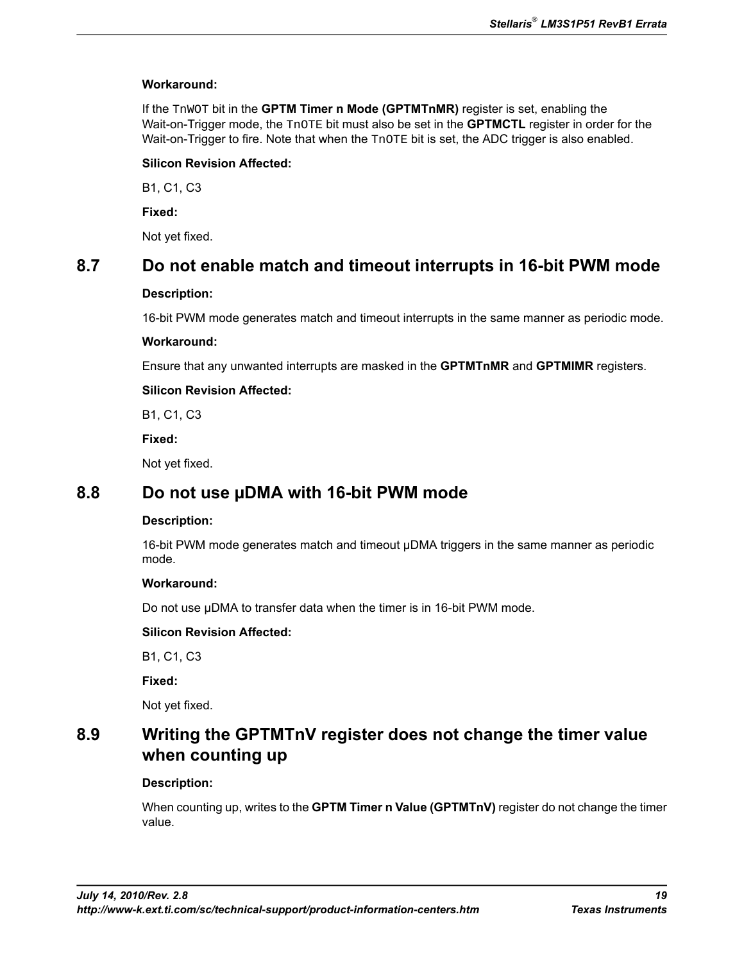#### **Workaround:**

If the TnWOT bit in the **GPTM Timer n Mode (GPTMTnMR)** register is set, enabling the Wait-on-Trigger mode, the TnOTE bit must also be set in the **GPTMCTL** register in order for the Wait-on-Trigger to fire. Note that when the TnOTE bit is set, the ADC trigger is also enabled.

#### **Silicon Revision Affected:**

B1, C1, C3

**Fixed:**

Not yet fixed.

## <span id="page-18-0"></span>**8.7 Do not enable match and timeout interrupts in 16-bit PWM mode**

#### **Description:**

16-bit PWM mode generates match and timeout interrupts in the same manner as periodic mode.

#### **Workaround:**

Ensure that any unwanted interrupts are masked in the **GPTMTnMR** and **GPTMIMR** registers.

#### **Silicon Revision Affected:**

B1, C1, C3

**Fixed:**

Not yet fixed.

## <span id="page-18-1"></span>**8.8 Do not use µDMA with 16-bit PWM mode**

#### **Description:**

16-bit PWM mode generates match and timeout µDMA triggers in the same manner as periodic mode.

#### **Workaround:**

Do not use µDMA to transfer data when the timer is in 16-bit PWM mode.

### **Silicon Revision Affected:**

<span id="page-18-2"></span>B1, C1, C3

**Fixed:**

Not yet fixed.

# **8.9 Writing the GPTMTnV register does not change the timer value when counting up**

### **Description:**

When counting up, writes to the **GPTM Timer n Value (GPTMTnV)** register do not change the timer value.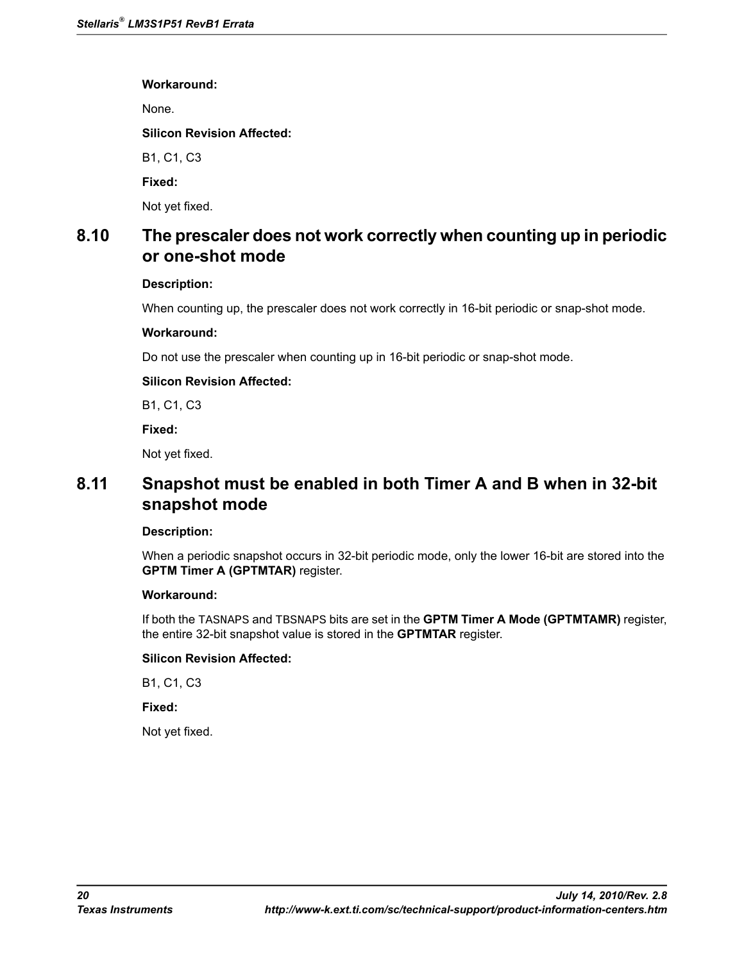**Workaround:**

None.

**Silicon Revision Affected:**

B1, C1, C3

**Fixed:**

Not yet fixed.

# <span id="page-19-0"></span>**8.10 The prescaler does not work correctly when counting up in periodic or one-shot mode**

#### **Description:**

When counting up, the prescaler does not work correctly in 16-bit periodic or snap-shot mode.

#### **Workaround:**

Do not use the prescaler when counting up in 16-bit periodic or snap-shot mode.

#### **Silicon Revision Affected:**

B1, C1, C3

**Fixed:**

Not yet fixed.

# <span id="page-19-1"></span>**8.11 Snapshot must be enabled in both Timer A and B when in 32-bit snapshot mode**

#### **Description:**

When a periodic snapshot occurs in 32-bit periodic mode, only the lower 16-bit are stored into the **GPTM Timer A (GPTMTAR)** register.

#### **Workaround:**

If both the TASNAPS and TBSNAPS bits are set in the **GPTM Timer A Mode (GPTMTAMR)** register, the entire 32-bit snapshot value is stored in the **GPTMTAR** register.

#### **Silicon Revision Affected:**

B1, C1, C3

**Fixed:**

Not yet fixed.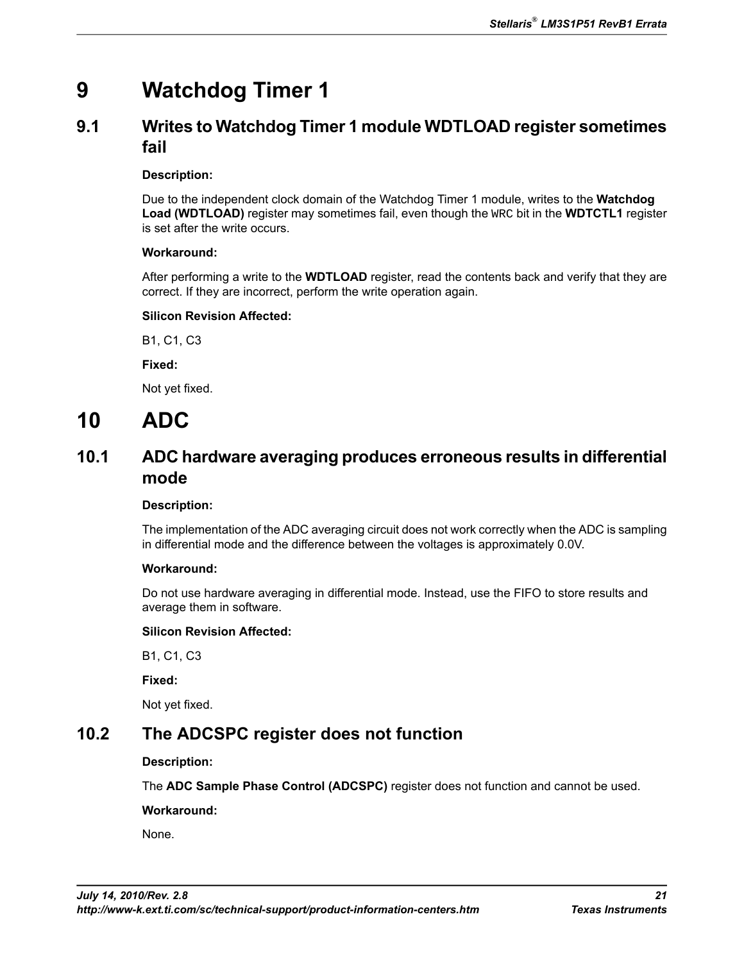# **9 Watchdog Timer 1**

# <span id="page-20-1"></span>**9.1 Writes to Watchdog Timer 1 module WDTLOAD register sometimes fail**

### **Description:**

Due to the independent clock domain of the Watchdog Timer 1 module, writes to the **Watchdog Load (WDTLOAD)** register may sometimes fail, even though the WRC bit in the **WDTCTL1** register is set after the write occurs.

### **Workaround:**

After performing a write to the **WDTLOAD** register, read the contents back and verify that they are correct. If they are incorrect, perform the write operation again.

### **Silicon Revision Affected:**

B1, C1, C3

**Fixed:**

Not yet fixed.

# <span id="page-20-2"></span>**10 ADC**

# **10.1 ADC hardware averaging produces erroneous results in differential mode**

### **Description:**

The implementation of the ADC averaging circuit does not work correctly when the ADC is sampling in differential mode and the difference between the voltages is approximately 0.0V.

### **Workaround:**

Do not use hardware averaging in differential mode. Instead, use the FIFO to store results and average them in software.

### **Silicon Revision Affected:**

<span id="page-20-0"></span>B1, C1, C3

**Fixed:**

Not yet fixed.

# **10.2 The ADCSPC register does not function**

### **Description:**

The **ADC Sample Phase Control (ADCSPC)** register does not function and cannot be used.

**Workaround:**

None.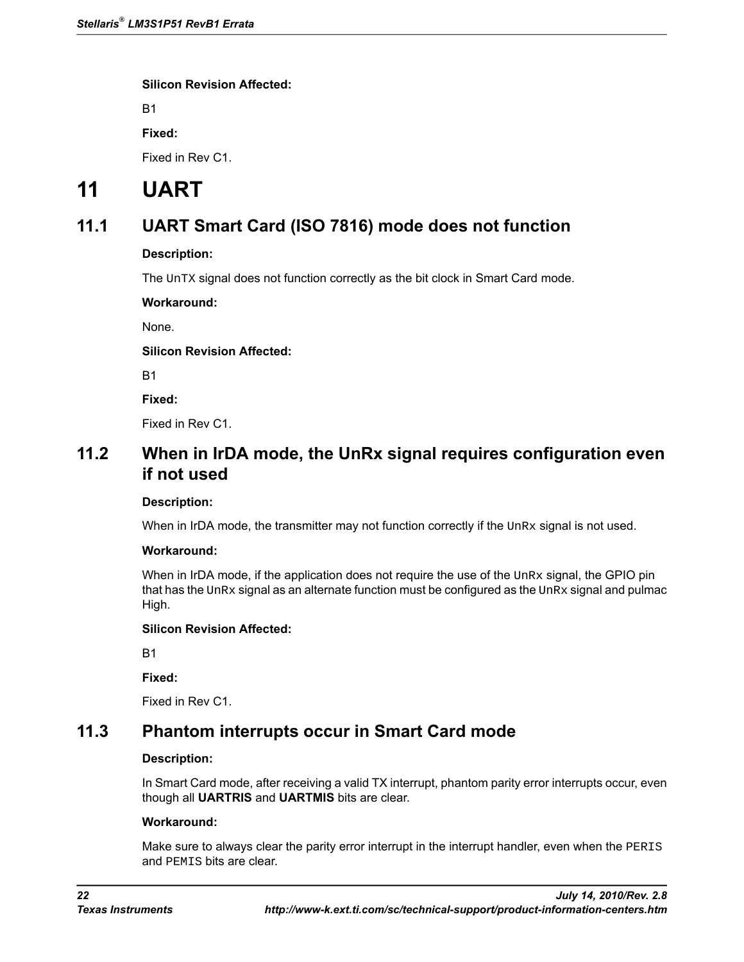B1

**Fixed:**

Fixed in Rev C1.

# <span id="page-21-1"></span>**11 UART**

# **11.1 UART Smart Card (ISO 7816) mode does not function**

### **Description:**

The UnTX signal does not function correctly as the bit clock in Smart Card mode.

**Workaround:**

None.

### **Silicon Revision Affected:**

B1

**Fixed:**

Fixed in Rev C1.

# **11.2 When in IrDA mode, the UnRx signal requires configuration even if not used**

#### **Description:**

When in IrDA mode, the transmitter may not function correctly if the  $\text{UnRx}$  signal is not used.

#### **Workaround:**

When in IrDA mode, if the application does not require the use of the UnRx signal, the GPIO pin that has the  $\text{UnRx}$  signal as an alternate function must be configured as the  $\text{UnRx}$  signal and pulmac High.

### **Silicon Revision Affected:**

<span id="page-21-0"></span>B1

**Fixed:**

Fixed in Rev C1.

# **11.3 Phantom interrupts occur in Smart Card mode**

### **Description:**

In Smart Card mode, after receiving a valid TX interrupt, phantom parity error interrupts occur, even though all **UARTRIS** and **UARTMIS** bits are clear.

#### **Workaround:**

Make sure to always clear the parity error interrupt in the interrupt handler, even when the PERIS and PEMIS bits are clear.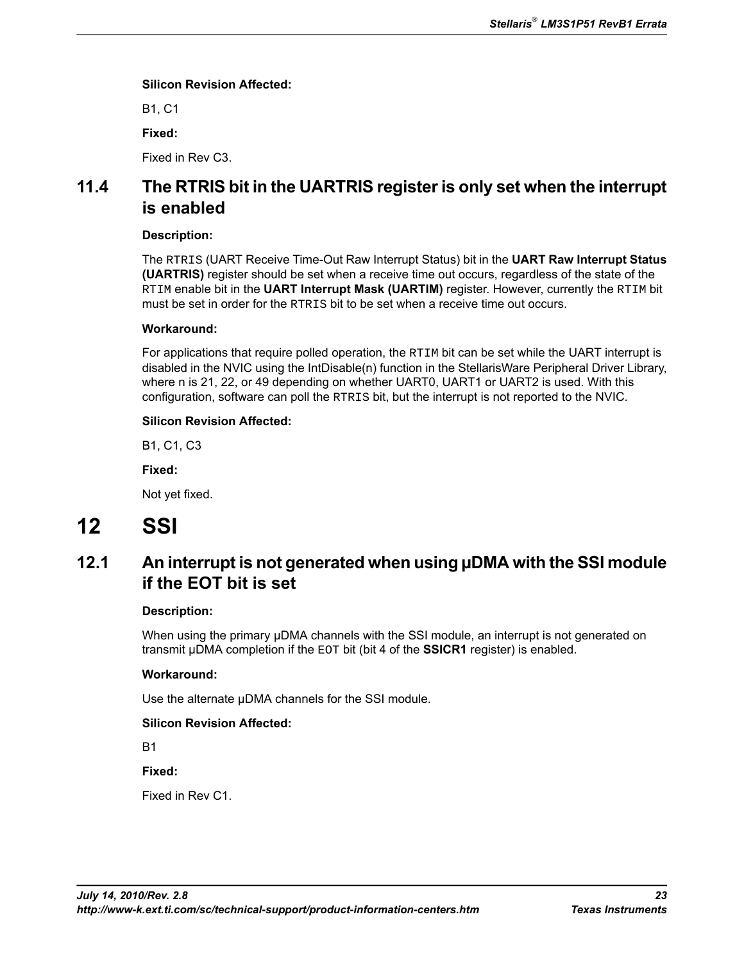B1, C1

**Fixed:**

Fixed in Rev C3.

# <span id="page-22-0"></span>**11.4 The RTRIS bit in the UARTRIS register is only set when the interrupt is enabled**

#### **Description:**

The RTRIS (UART Receive Time-Out Raw Interrupt Status) bit in the **UART Raw Interrupt Status (UARTRIS)** register should be set when a receive time out occurs, regardless of the state of the RTIM enable bit in the **UART Interrupt Mask (UARTIM)** register. However, currently the RTIM bit must be set in order for the RTRIS bit to be set when a receive time out occurs.

#### **Workaround:**

For applications that require polled operation, the RTIM bit can be set while the UART interrupt is disabled in the NVIC using the IntDisable(n) function in the StellarisWare Peripheral Driver Library, where n is 21, 22, or 49 depending on whether UART0, UART1 or UART2 is used. With this configuration, software can poll the RTRIS bit, but the interrupt is not reported to the NVIC.

#### **Silicon Revision Affected:**

B1, C1, C3

**Fixed:**

Not yet fixed.

# <span id="page-22-1"></span>**12 SSI**

# **12.1 An interrupt is not generated when using µDMA with the SSI module if the EOT bit is set**

#### **Description:**

When using the primary µDMA channels with the SSI module, an interrupt is not generated on transmit µDMA completion if the EOT bit (bit 4 of the **SSICR1** register) is enabled.

### **Workaround:**

Use the alternate  $\mu$ DMA channels for the SSI module.

### **Silicon Revision Affected:**

B1

**Fixed:**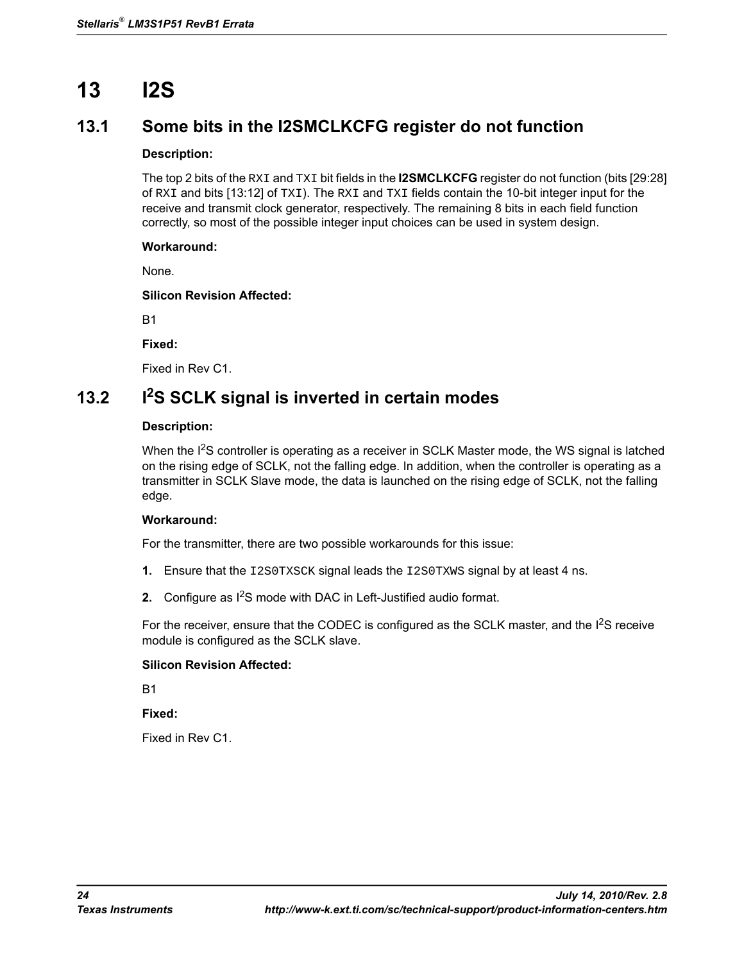# **13 I2S**

# **13.1 Some bits in the I2SMCLKCFG register do not function**

### **Description:**

The top 2 bits of the RXI and TXI bit fields in the **I2SMCLKCFG** register do not function (bits [29:28] of RXI and bits [13:12] of TXI). The RXI and TXI fields contain the 10-bit integer input for the receive and transmit clock generator, respectively. The remaining 8 bits in each field function correctly, so most of the possible integer input choices can be used in system design.

### **Workaround:**

None.

**Silicon Revision Affected:**

B1

**Fixed:**

Fixed in Rev C1.

# <span id="page-23-0"></span>**13.2 I2S SCLK signal is inverted in certain modes**

#### **Description:**

When the I<sup>2</sup>S controller is operating as a receiver in SCLK Master mode, the WS signal is latched on the rising edge of SCLK, not the falling edge. In addition, when the controller is operating as a transmitter in SCLK Slave mode, the data is launched on the rising edge of SCLK, not the falling edge.

### **Workaround:**

For the transmitter, there are two possible workarounds for this issue:

- **1.** Ensure that the I2S0TXSCK signal leads the I2S0TXWS signal by at least 4 ns.
- **2.** Configure as  $1^2$ S mode with DAC in Left-Justified audio format.

For the receiver, ensure that the CODEC is configured as the SCLK master, and the I<sup>2</sup>S receive module is configured as the SCLK slave.

### **Silicon Revision Affected:**

B1

**Fixed:**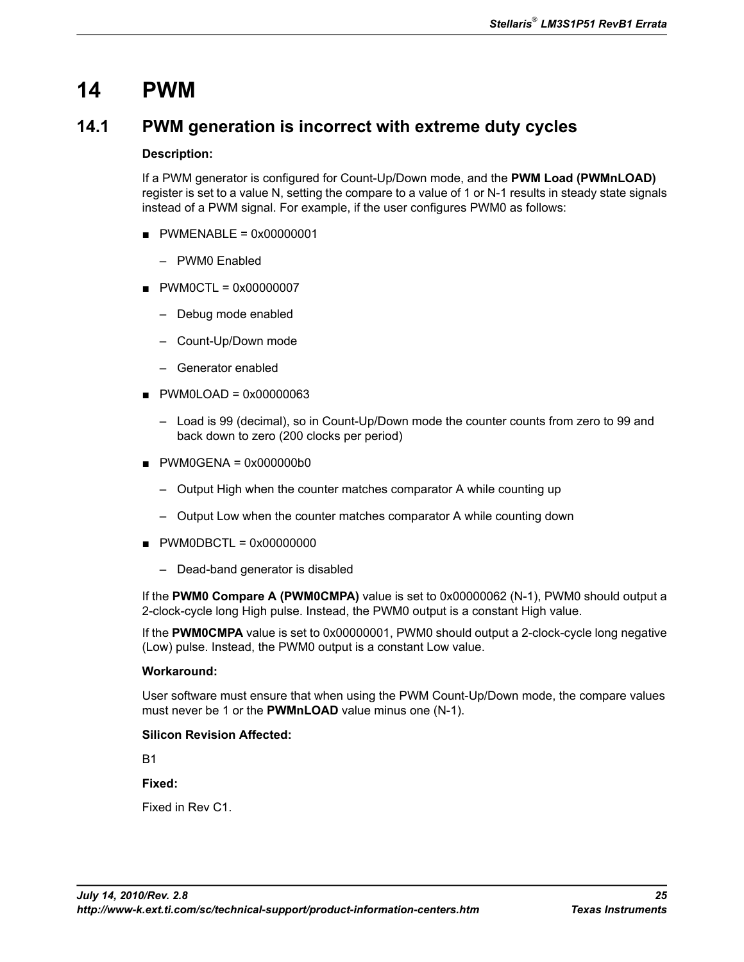# **14 PWM**

## <span id="page-24-0"></span>**14.1 PWM generation is incorrect with extreme duty cycles**

#### **Description:**

If a PWM generator is configured for Count-Up/Down mode, and the **PWM Load (PWMnLOAD)** register is set to a value N, setting the compare to a value of 1 or N-1 results in steady state signals instead of a PWM signal. For example, if the user configures PWM0 as follows:

- $\blacksquare$  PWMENABLE = 0x00000001
	- PWM0 Enabled
- PWM0CTL = 0x00000007
	- Debug mode enabled
	- Count-Up/Down mode
	- Generator enabled
- $\blacksquare$  PWM0LOAD = 0x00000063
	- Load is 99 (decimal), so in Count-Up/Down mode the counter counts from zero to 99 and back down to zero (200 clocks per period)
- $\blacksquare$  PWM0GENA = 0x000000b0
	- Output High when the counter matches comparator A while counting up
	- Output Low when the counter matches comparator A while counting down
- $\blacksquare$  PWM0DBCTL = 0x00000000
	- Dead-band generator is disabled

If the **PWM0 Compare A (PWM0CMPA)** value is set to 0x00000062 (N-1), PWM0 should output a 2-clock-cycle long High pulse. Instead, the PWM0 output is a constant High value.

If the **PWM0CMPA** value is set to 0x00000001, PWM0 should output a 2-clock-cycle long negative (Low) pulse. Instead, the PWM0 output is a constant Low value.

#### **Workaround:**

User software must ensure that when using the PWM Count-Up/Down mode, the compare values must never be 1 or the **PWMnLOAD** value minus one (N-1).

#### **Silicon Revision Affected:**

**B1** 

**Fixed:**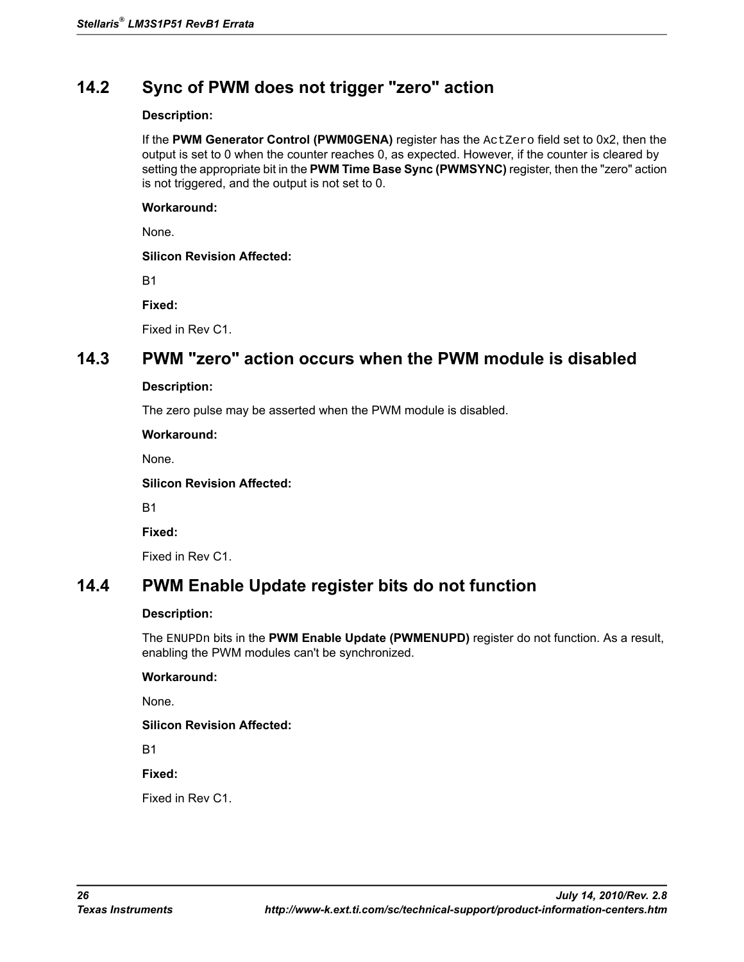# <span id="page-25-0"></span>**14.2 Sync of PWM does not trigger "zero" action**

#### **Description:**

If the **PWM Generator Control (PWM0GENA)** register has the ActZero field set to 0x2, then the output is set to 0 when the counter reaches 0, as expected. However, if the counter is cleared by setting the appropriate bit in the **PWM Time Base Sync (PWMSYNC)** register, then the "zero" action is not triggered, and the output is not set to 0.

#### **Workaround:**

None.

#### **Silicon Revision Affected:**

B1

**Fixed:**

Fixed in Rev C1.

## <span id="page-25-1"></span>**14.3 PWM "zero" action occurs when the PWM module is disabled**

#### **Description:**

The zero pulse may be asserted when the PWM module is disabled.

**Workaround:**

None.

**Silicon Revision Affected:**

B1

**Fixed:**

Fixed in Rev C1.

## <span id="page-25-2"></span>**14.4 PWM Enable Update register bits do not function**

#### **Description:**

The ENUPDn bits in the **PWM Enable Update (PWMENUPD)** register do not function. As a result, enabling the PWM modules can't be synchronized.

#### **Workaround:**

None.

#### **Silicon Revision Affected:**

B1

**Fixed:**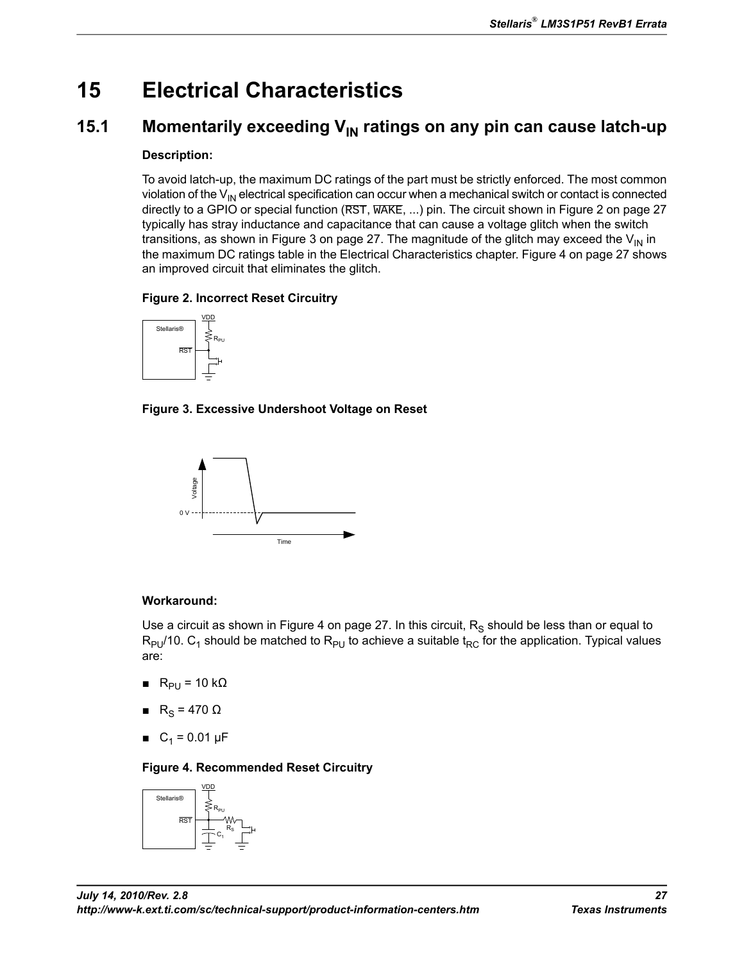# **15 Electrical Characteristics**

# <span id="page-26-0"></span>**15.1 Momentarily exceeding V<sub>IN</sub> ratings on any pin can cause latch-up**

### **Description:**

To avoid latch-up, the maximum DC ratings of the part must be strictly enforced. The most common violation of the  $V_{\text{IN}}$  electrical specification can occur when a mechanical switch or contact is connected directly to a GPIO or special function (RST, WAKE, ...) pin. The circuit shown in [Figure 2 on page 27](#page-26-1) typically has stray inductance and capacitance that can cause a voltage glitch when the switch transitions, as shown in [Figure 3 on page 27](#page-26-2). The magnitude of the glitch may exceed the  $V_{\text{IN}}$  in the maximum DC ratings table in the Electrical Characteristics chapter. [Figure 4 on page 27](#page-26-3) shows an improved circuit that eliminates the glitch.

## <span id="page-26-1"></span>**Figure 2. Incorrect Reset Circuitry**



<span id="page-26-2"></span>**Figure 3. Excessive Undershoot Voltage on Reset**



## **Workaround:**

Use a circuit as shown in [Figure 4 on page 27.](#page-26-3) In this circuit,  $\mathsf{R}_\mathsf{S}$  should be less than or equal to  $\mathsf{R}_{\mathsf{PU}}$ /10.  $\mathsf{C}_1$  should be matched to  $\mathsf{R}_{\mathsf{PU}}$  to achieve a suitable  $\mathfrak{t}_{\mathsf{RC}}$  for the application. Typical values are:

- <span id="page-26-3"></span> $R_{PI} = 10 k\Omega$
- $R_S = 470 \Omega$
- $C_1 = 0.01 \mu F$

## **Figure 4. Recommended Reset Circuitry**

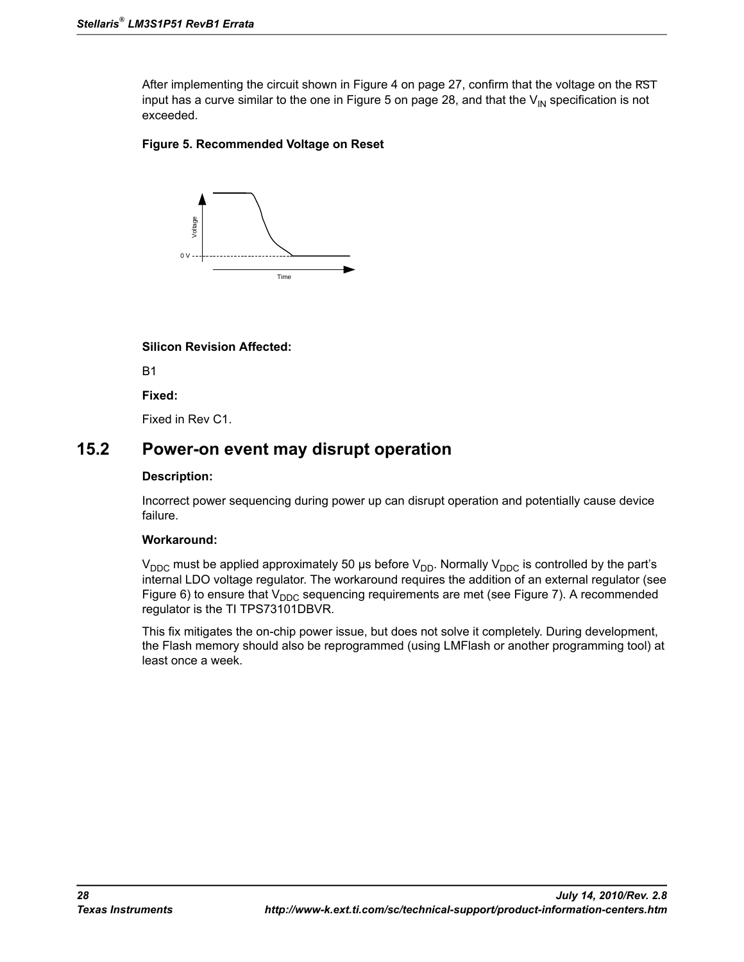After implementing the circuit shown in [Figure 4 on page 27](#page-26-3), confirm that the voltage on the  $\overline{RST}$ input has a curve similar to the one in [Figure 5 on page 28,](#page-27-1) and that the  $V_{\text{IN}}$  specification is not exceeded.

### <span id="page-27-1"></span>**Figure 5. Recommended Voltage on Reset**



#### **Silicon Revision Affected:**

B1

**Fixed:**

Fixed in Rev C1.

## <span id="page-27-0"></span>**15.2 Power-on event may disrupt operation**

#### **Description:**

Incorrect power sequencing during power up can disrupt operation and potentially cause device failure.

#### **Workaround:**

 $V_{DDC}$  must be applied approximately 50 µs before  $V_{DD}$ . Normally  $V_{DDC}$  is controlled by the part's internal LDO voltage regulator. The workaround requires the addition of an external regulator (see [Figure 6\)](#page-28-0) to ensure that  $V_{DDC}$  sequencing requirements are met (see [Figure 7\)](#page-28-1). A recommended regulator is the TI TPS73101DBVR.

This fix mitigates the on-chip power issue, but does not solve it completely. During development, the Flash memory should also be reprogrammed (using LMFlash or another programming tool) at least once a week.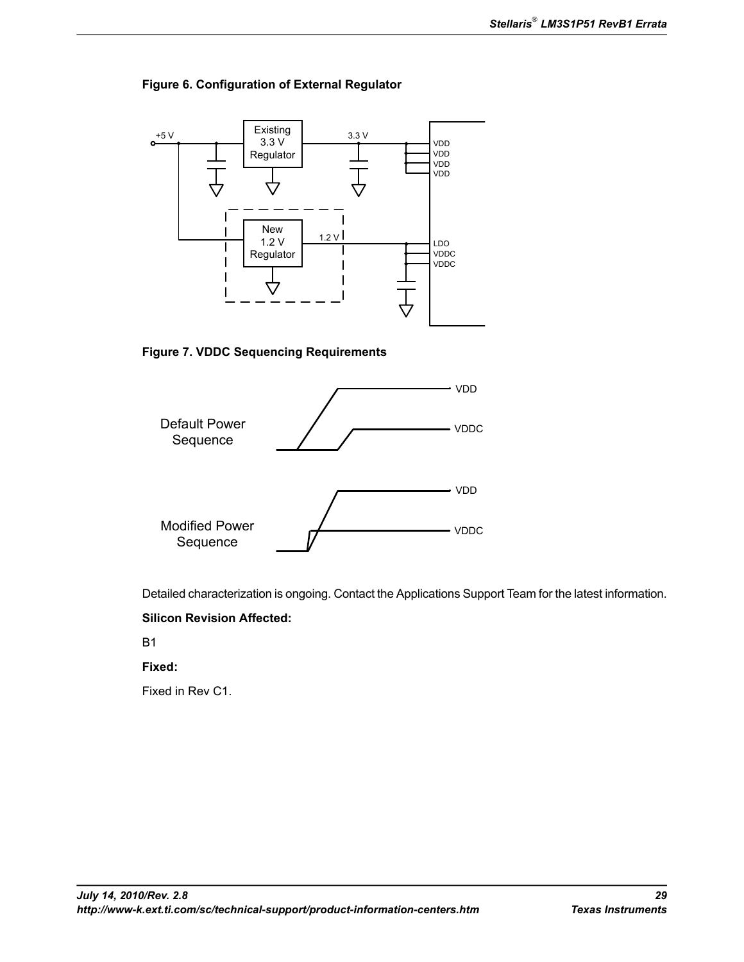### <span id="page-28-0"></span>**Figure 6. Configuration of External Regulator**



<span id="page-28-1"></span>**Figure 7. VDDC Sequencing Requirements**



Detailed characterization is ongoing. Contact the Applications Support Team for the latest information.

### **Silicon Revision Affected:**

B1

### **Fixed:**